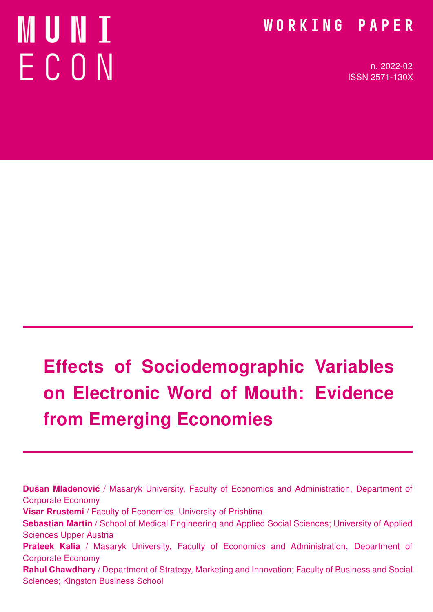# MUNI ECON

### WORKING PAPER

n. 2022-02 ISSN 2571-130X

# Effects of Sociodemographic Variables on Electronic Word of Mouth: Evidence from Emerging Economies

Dušan Mladenović / Masaryk University, Faculty of Economics and Administration, Department of Corporate Economy Visar Rrustemi / Faculty of Economics; University of Prishtina Sebastian Martin / School of Medical Engineering and Applied Social Sciences; University of Applied Sciences Upper Austria Prateek Kalia / Masaryk University, Faculty of Economics and Administration, Department of Corporate Economy Rahul Chawdhary / Department of Strategy, Marketing and Innovation; Faculty of Business and Social Sciences; Kingston Business School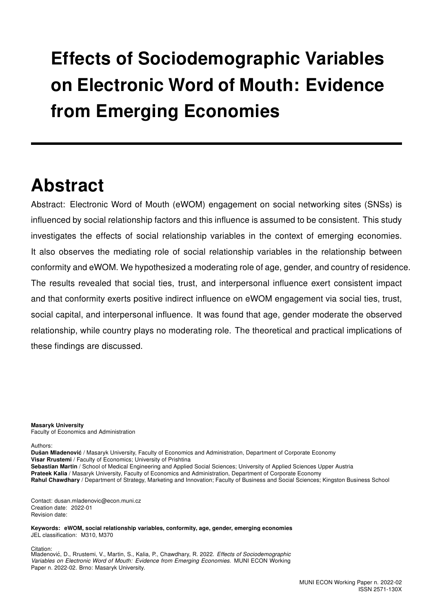# Effects of Sociodemographic Variables on Electronic Word of Mouth: Evidence from Emerging Economies

## Abstract

Abstract: Electronic Word of Mouth (eWOM) engagement on social networking sites (SNSs) is influenced by social relationship factors and this influence is assumed to be consistent. This study investigates the effects of social relationship variables in the context of emerging economies. It also observes the mediating role of social relationship variables in the relationship between conformity and eWOM. We hypothesized a moderating role of age, gender, and country of residence. The results revealed that social ties, trust, and interpersonal influence exert consistent impact and that conformity exerts positive indirect influence on eWOM engagement via social ties, trust, social capital, and interpersonal influence. It was found that age, gender moderate the observed relationship, while country plays no moderating role. The theoretical and practical implications of these findings are discussed.

Masaryk University Faculty of Economics and Administration

Authors:

Dušan Mladenović / Masaryk University, Faculty of Economics and Administration, Department of Corporate Economy Visar Rrustemi / Faculty of Economics; University of Prishtina

Sebastian Martin / School of Medical Engineering and Applied Social Sciences; University of Applied Sciences Upper Austria

Prateek Kalia / Masaryk University, Faculty of Economics and Administration, Department of Corporate Economy

Rahul Chawdhary / Department of Strategy, Marketing and Innovation; Faculty of Business and Social Sciences; Kingston Business School

Contact: dusan.mladenovic@econ.muni.cz Creation date: 2022-01 Revision date:

Keywords: eWOM, social relationship variables, conformity, age, gender, emerging economies JEL classification: M310, M370

Citation:

Mladenović, D., Rrustemi, V., Martin, S., Kalia, P., Chawdhary, R. 2022. Effects of Sociodemographic Variables on Electronic Word of Mouth: Evidence from Emerging Economies. MUNI ECON Working Paper n. 2022-02. Brno: Masaryk University.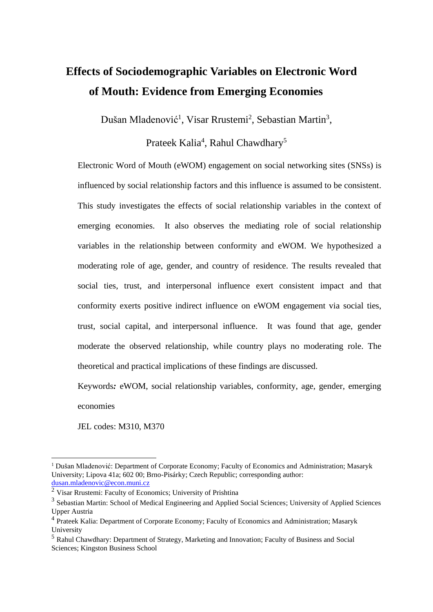### **Effects of Sociodemographic Variables on Electronic Word of Mouth: Evidence from Emerging Economies**

Dušan Mladenović<sup>1</sup>, Visar Rrustemi<sup>2</sup>, Sebastian Martin<sup>3</sup>,

Prateek Kalia<sup>4</sup>, Rahul Chawdhary<sup>5</sup>

Electronic Word of Mouth (eWOM) engagement on social networking sites (SNSs) is influenced by social relationship factors and this influence is assumed to be consistent. This study investigates the effects of social relationship variables in the context of emerging economies. It also observes the mediating role of social relationship variables in the relationship between conformity and eWOM. We hypothesized a moderating role of age, gender, and country of residence. The results revealed that social ties, trust, and interpersonal influence exert consistent impact and that conformity exerts positive indirect influence on eWOM engagement via social ties, trust, social capital, and interpersonal influence. It was found that age, gender moderate the observed relationship, while country plays no moderating role. The theoretical and practical implications of these findings are discussed.

Keywords*:* eWOM, social relationship variables, conformity, age, gender, emerging economies

JEL codes: M310, M370

<sup>&</sup>lt;sup>1</sup> Dušan Mladenović: Department of Corporate Economy; Faculty of Economics and Administration; Masaryk University; Lipova 41a; 602 00; Brno-Pisárky; Czech Republic; corresponding author: dusan.mladenovic@econ.muni.cz

<sup>&</sup>lt;sup>2</sup> Visar Rrustemi: Faculty of Economics; University of Prishtina

<sup>&</sup>lt;sup>3</sup> Sebastian Martin: School of Medical Engineering and Applied Social Sciences; University of Applied Sciences Upper Austria

<sup>&</sup>lt;sup>4</sup> Prateek Kalia: Department of Corporate Economy; Faculty of Economics and Administration; Masaryk University

<sup>5</sup> Rahul Chawdhary: Department of Strategy, Marketing and Innovation; Faculty of Business and Social Sciences; Kingston Business School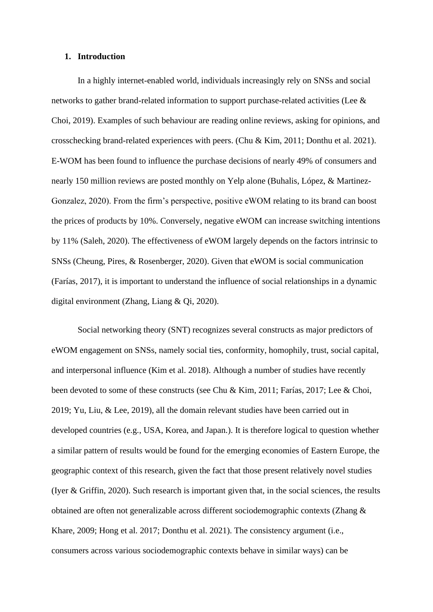#### **1. Introduction**

In a highly internet-enabled world, individuals increasingly rely on SNSs and social networks to gather brand-related information to support purchase-related activities (Lee & Choi, 2019). Examples of such behaviour are reading online reviews, asking for opinions, and crosschecking brand-related experiences with peers. (Chu & Kim, 2011; Donthu et al. 2021). E-WOM has been found to influence the purchase decisions of nearly 49% of consumers and nearly 150 million reviews are posted monthly on Yelp alone (Buhalis, López, & Martinez-Gonzalez, 2020). From the firm's perspective, positive eWOM relating to its brand can boost the prices of products by 10%. Conversely, negative eWOM can increase switching intentions by 11% (Saleh, 2020). The effectiveness of eWOM largely depends on the factors intrinsic to SNSs (Cheung, Pires, & Rosenberger, 2020). Given that eWOM is social communication (Farías, 2017), it is important to understand the influence of social relationships in a dynamic digital environment (Zhang, Liang & Qi, 2020).

Social networking theory (SNT) recognizes several constructs as major predictors of eWOM engagement on SNSs, namely social ties, conformity, homophily, trust, social capital, and interpersonal influence (Kim et al. 2018). Although a number of studies have recently been devoted to some of these constructs (see Chu & Kim, 2011; Farías, 2017; Lee & Choi, 2019; Yu, Liu, & Lee, 2019), all the domain relevant studies have been carried out in developed countries (e.g., USA, Korea, and Japan.). It is therefore logical to question whether a similar pattern of results would be found for the emerging economies of Eastern Europe, the geographic context of this research, given the fact that those present relatively novel studies (Iyer & Griffin, 2020). Such research is important given that, in the social sciences, the results obtained are often not generalizable across different sociodemographic contexts (Zhang & Khare, 2009; Hong et al. 2017; Donthu et al. 2021). The consistency argument (i.e., consumers across various sociodemographic contexts behave in similar ways) can be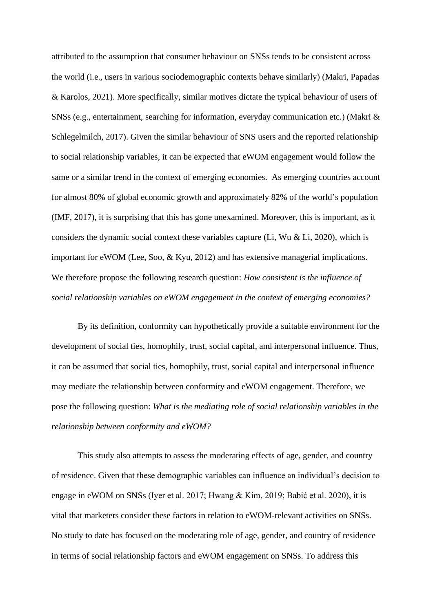attributed to the assumption that consumer behaviour on SNSs tends to be consistent across the world (i.e., users in various sociodemographic contexts behave similarly) (Makri, Papadas & Karolos, 2021). More specifically, similar motives dictate the typical behaviour of users of SNSs (e.g., entertainment, searching for information, everyday communication etc.) (Makri & Schlegelmilch, 2017). Given the similar behaviour of SNS users and the reported relationship to social relationship variables, it can be expected that eWOM engagement would follow the same or a similar trend in the context of emerging economies. As emerging countries account for almost 80% of global economic growth and approximately 82% of the world's population (IMF, 2017), it is surprising that this has gone unexamined. Moreover, this is important, as it considers the dynamic social context these variables capture (Li, Wu & Li, 2020), which is important for eWOM (Lee, Soo, & Kyu, 2012) and has extensive managerial implications. We therefore propose the following research question: *How consistent is the influence of social relationship variables on eWOM engagement in the context of emerging economies?*

By its definition, conformity can hypothetically provide a suitable environment for the development of social ties, homophily, trust, social capital, and interpersonal influence. Thus, it can be assumed that social ties, homophily, trust, social capital and interpersonal influence may mediate the relationship between conformity and eWOM engagement. Therefore, we pose the following question: *What is the mediating role of social relationship variables in the relationship between conformity and eWOM?*

This study also attempts to assess the moderating effects of age, gender, and country of residence. Given that these demographic variables can influence an individual's decision to engage in eWOM on SNSs (Iyer et al. 2017; Hwang & Kim, 2019; Babić et al. 2020), it is vital that marketers consider these factors in relation to eWOM-relevant activities on SNSs. No study to date has focused on the moderating role of age, gender, and country of residence in terms of social relationship factors and eWOM engagement on SNSs. To address this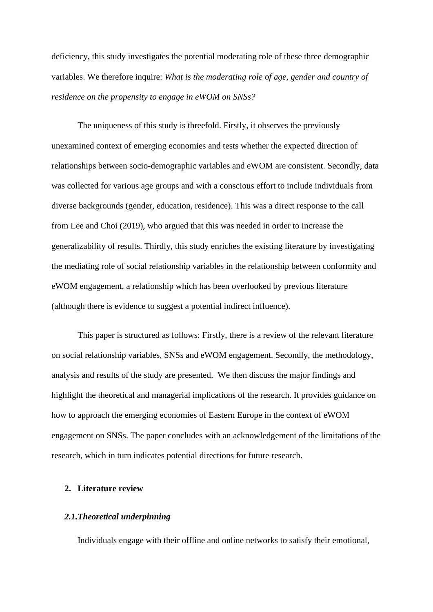deficiency, this study investigates the potential moderating role of these three demographic variables. We therefore inquire: *What is the moderating role of age, gender and country of residence on the propensity to engage in eWOM on SNSs?*

The uniqueness of this study is threefold. Firstly, it observes the previously unexamined context of emerging economies and tests whether the expected direction of relationships between socio-demographic variables and eWOM are consistent. Secondly, data was collected for various age groups and with a conscious effort to include individuals from diverse backgrounds (gender, education, residence). This was a direct response to the call from Lee and Choi (2019), who argued that this was needed in order to increase the generalizability of results. Thirdly, this study enriches the existing literature by investigating the mediating role of social relationship variables in the relationship between conformity and eWOM engagement, a relationship which has been overlooked by previous literature (although there is evidence to suggest a potential indirect influence).

This paper is structured as follows: Firstly, there is a review of the relevant literature on social relationship variables, SNSs and eWOM engagement. Secondly, the methodology, analysis and results of the study are presented. We then discuss the major findings and highlight the theoretical and managerial implications of the research. It provides guidance on how to approach the emerging economies of Eastern Europe in the context of eWOM engagement on SNSs. The paper concludes with an acknowledgement of the limitations of the research, which in turn indicates potential directions for future research.

#### **2. Literature review**

#### *2.1.Theoretical underpinning*

Individuals engage with their offline and online networks to satisfy their emotional,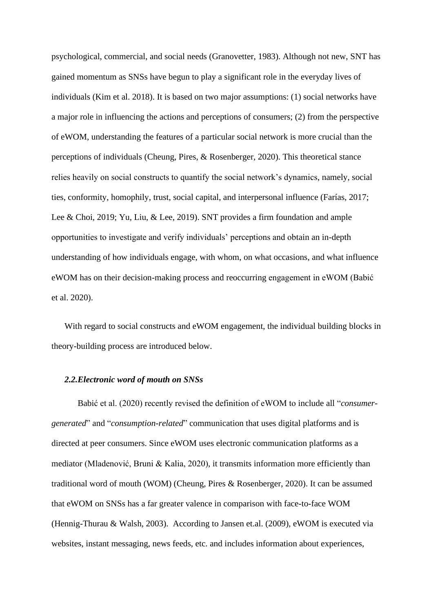psychological, commercial, and social needs (Granovetter, 1983). Although not new, SNT has gained momentum as SNSs have begun to play a significant role in the everyday lives of individuals (Kim et al. 2018). It is based on two major assumptions: (1) social networks have a major role in influencing the actions and perceptions of consumers; (2) from the perspective of eWOM, understanding the features of a particular social network is more crucial than the perceptions of individuals (Cheung, Pires, & Rosenberger, 2020). This theoretical stance relies heavily on social constructs to quantify the social network's dynamics, namely, social ties, conformity, homophily, trust, social capital, and interpersonal influence (Farías, 2017; Lee & Choi, 2019; Yu, Liu, & Lee, 2019). SNT provides a firm foundation and ample opportunities to investigate and verify individuals' perceptions and obtain an in-depth understanding of how individuals engage, with whom, on what occasions, and what influence eWOM has on their decision-making process and reoccurring engagement in eWOM (Babić et al. 2020).

With regard to social constructs and eWOM engagement, the individual building blocks in theory-building process are introduced below.

#### *2.2.Electronic word of mouth on SNSs*

Babić et al. (2020) recently revised the definition of eWOM to include all "*consumergenerated*" and "*consumption-related*" communication that uses digital platforms and is directed at peer consumers. Since eWOM uses electronic communication platforms as a mediator (Mladenović, Bruni & Kalia, 2020), it transmits information more efficiently than traditional word of mouth (WOM) (Cheung, Pires & Rosenberger, 2020). It can be assumed that eWOM on SNSs has a far greater valence in comparison with face-to-face WOM (Hennig-Thurau & Walsh, 2003). According to Jansen et.al. (2009), eWOM is executed via websites, instant messaging, news feeds, etc. and includes information about experiences,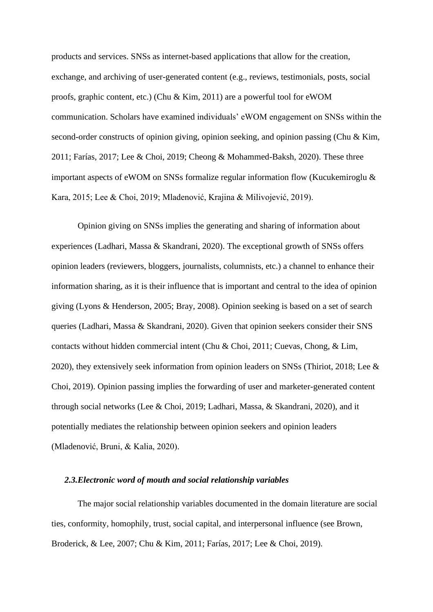products and services. SNSs as internet-based applications that allow for the creation, exchange, and archiving of user-generated content (e.g., reviews, testimonials, posts, social proofs, graphic content, etc.) (Chu & Kim, 2011) are a powerful tool for eWOM communication. Scholars have examined individuals' eWOM engagement on SNSs within the second-order constructs of opinion giving, opinion seeking, and opinion passing (Chu & Kim, 2011; Farías, 2017; Lee & Choi, 2019; Cheong & Mohammed-Baksh, 2020). These three important aspects of eWOM on SNSs formalize regular information flow (Kucukemiroglu & Kara, 2015; Lee & Choi, 2019; Mladenović, Krajina & Milivojević, 2019).

Opinion giving on SNSs implies the generating and sharing of information about experiences (Ladhari, Massa & Skandrani, 2020). The exceptional growth of SNSs offers opinion leaders (reviewers, bloggers, journalists, columnists, etc.) a channel to enhance their information sharing, as it is their influence that is important and central to the idea of opinion giving (Lyons & Henderson, 2005; Bray, 2008). Opinion seeking is based on a set of search queries (Ladhari, Massa & Skandrani, 2020). Given that opinion seekers consider their SNS contacts without hidden commercial intent (Chu & Choi, 2011; Cuevas, Chong, & Lim, 2020), they extensively seek information from opinion leaders on SNSs (Thiriot, 2018; Lee & Choi, 2019). Opinion passing implies the forwarding of user and marketer-generated content through social networks (Lee & Choi, 2019; Ladhari, Massa, & Skandrani, 2020), and it potentially mediates the relationship between opinion seekers and opinion leaders (Mladenović, Bruni, & Kalia, 2020).

#### *2.3.Electronic word of mouth and social relationship variables*

The major social relationship variables documented in the domain literature are social ties, conformity, homophily, trust, social capital, and interpersonal influence (see Brown, Broderick, & Lee, 2007; Chu & Kim, 2011; Farías, 2017; Lee & Choi, 2019).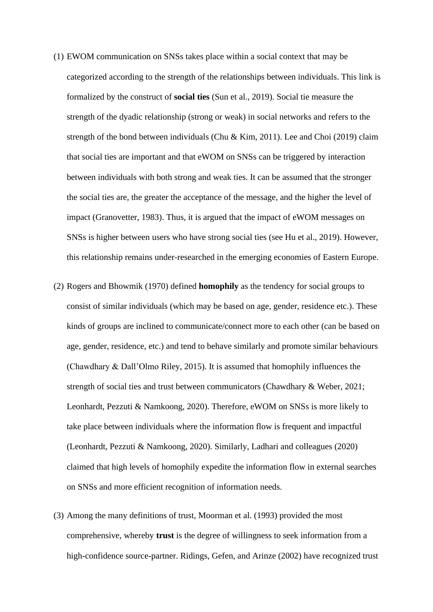- (1) EWOM communication on SNSs takes place within a social context that may be categorized according to the strength of the relationships between individuals. This link is formalized by the construct of **social ties** (Sun et al., 2019). Social tie measure the strength of the dyadic relationship (strong or weak) in social networks and refers to the strength of the bond between individuals (Chu & Kim, 2011). Lee and Choi (2019) claim that social ties are important and that eWOM on SNSs can be triggered by interaction between individuals with both strong and weak ties. It can be assumed that the stronger the social ties are, the greater the acceptance of the message, and the higher the level of impact (Granovetter, 1983). Thus, it is argued that the impact of eWOM messages on SNSs is higher between users who have strong social ties (see Hu et al., 2019). However, this relationship remains under-researched in the emerging economies of Eastern Europe.
- (2) Rogers and Bhowmik (1970) defined **homophily** as the tendency for social groups to consist of similar individuals (which may be based on age, gender, residence etc.). These kinds of groups are inclined to communicate/connect more to each other (can be based on age, gender, residence, etc.) and tend to behave similarly and promote similar behaviours (Chawdhary & Dall'Olmo Riley, 2015). It is assumed that homophily influences the strength of social ties and trust between communicators (Chawdhary & Weber, 2021; Leonhardt, Pezzuti & Namkoong, 2020). Therefore, eWOM on SNSs is more likely to take place between individuals where the information flow is frequent and impactful (Leonhardt, Pezzuti & Namkoong, 2020). Similarly, Ladhari and colleagues (2020) claimed that high levels of homophily expedite the information flow in external searches on SNSs and more efficient recognition of information needs.
- (3) Among the many definitions of trust, Moorman et al. (1993) provided the most comprehensive, whereby **trust** is the degree of willingness to seek information from a high-confidence source-partner. Ridings, Gefen, and Arinze (2002) have recognized trust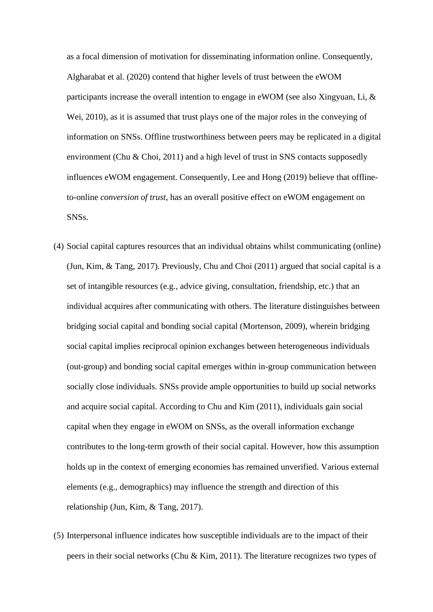as a focal dimension of motivation for disseminating information online. Consequently, Algharabat et al. (2020) contend that higher levels of trust between the eWOM participants increase the overall intention to engage in eWOM (see also Xingyuan, Li, & Wei, 2010), as it is assumed that trust plays one of the major roles in the conveying of information on SNSs. Offline trustworthiness between peers may be replicated in a digital environment (Chu & Choi, 2011) and a high level of trust in SNS contacts supposedly influences eWOM engagement. Consequently, Lee and Hong (2019) believe that offlineto-online *conversion of trust*, has an overall positive effect on eWOM engagement on SNSs.

- (4) Social capital captures resources that an individual obtains whilst communicating (online) (Jun, Kim, & Tang, 2017). Previously, Chu and Choi (2011) argued that social capital is a set of intangible resources (e.g., advice giving, consultation, friendship, etc.) that an individual acquires after communicating with others. The literature distinguishes between bridging social capital and bonding social capital (Mortenson, 2009), wherein bridging social capital implies reciprocal opinion exchanges between heterogeneous individuals (out-group) and bonding social capital emerges within in-group communication between socially close individuals. SNSs provide ample opportunities to build up social networks and acquire social capital. According to Chu and Kim (2011), individuals gain social capital when they engage in eWOM on SNSs, as the overall information exchange contributes to the long-term growth of their social capital. However, how this assumption holds up in the context of emerging economies has remained unverified. Various external elements (e.g., demographics) may influence the strength and direction of this relationship (Jun, Kim, & Tang, 2017).
- (5) Interpersonal influence indicates how susceptible individuals are to the impact of their peers in their social networks (Chu & Kim, 2011). The literature recognizes two types of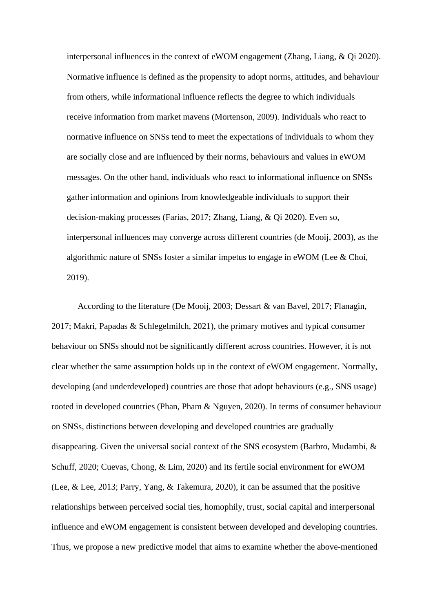interpersonal influences in the context of eWOM engagement (Zhang, Liang, & Qi 2020). Normative influence is defined as the propensity to adopt norms, attitudes, and behaviour from others, while informational influence reflects the degree to which individuals receive information from market mavens (Mortenson, 2009). Individuals who react to normative influence on SNSs tend to meet the expectations of individuals to whom they are socially close and are influenced by their norms, behaviours and values in eWOM messages. On the other hand, individuals who react to informational influence on SNSs gather information and opinions from knowledgeable individuals to support their decision-making processes (Farías, 2017; Zhang, Liang, & Qi 2020). Even so, interpersonal influences may converge across different countries (de Mooij, 2003), as the algorithmic nature of SNSs foster a similar impetus to engage in eWOM (Lee & Choi, 2019).

According to the literature (De Mooij, 2003; Dessart & van Bavel, 2017; Flanagin, 2017; Makri, Papadas & Schlegelmilch, 2021), the primary motives and typical consumer behaviour on SNSs should not be significantly different across countries. However, it is not clear whether the same assumption holds up in the context of eWOM engagement. Normally, developing (and underdeveloped) countries are those that adopt behaviours (e.g., SNS usage) rooted in developed countries (Phan, Pham & Nguyen, 2020). In terms of consumer behaviour on SNSs, distinctions between developing and developed countries are gradually disappearing. Given the universal social context of the SNS ecosystem (Barbro, Mudambi, & Schuff, 2020; Cuevas, Chong, & Lim, 2020) and its fertile social environment for eWOM (Lee, & Lee, 2013; Parry, Yang, & Takemura, 2020), it can be assumed that the positive relationships between perceived social ties, homophily, trust, social capital and interpersonal influence and eWOM engagement is consistent between developed and developing countries. Thus, we propose a new predictive model that aims to examine whether the above-mentioned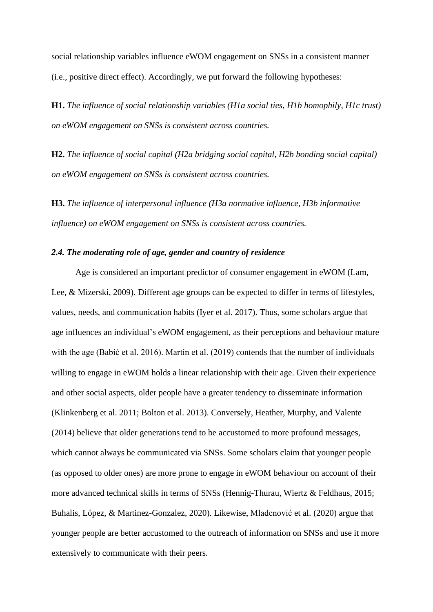social relationship variables influence eWOM engagement on SNSs in a consistent manner (i.e., positive direct effect). Accordingly, we put forward the following hypotheses:

**H1.** *The influence of social relationship variables (H1a social ties, H1b homophily, H1c trust) on eWOM engagement on SNSs is consistent across countries.*

**H2.** *The influence of social capital (H2a bridging social capital, H2b bonding social capital) on eWOM engagement on SNSs is consistent across countries.*

**H3.** *The influence of interpersonal influence (H3a normative influence, H3b informative influence) on eWOM engagement on SNSs is consistent across countries.*

#### *2.4. The moderating role of age, gender and country of residence*

 Age is considered an important predictor of consumer engagement in eWOM (Lam, Lee, & Mizerski, 2009). Different age groups can be expected to differ in terms of lifestyles, values, needs, and communication habits (Iyer et al. 2017). Thus, some scholars argue that age influences an individual's eWOM engagement, as their perceptions and behaviour mature with the age (Babić et al. 2016). Martin et al. (2019) contends that the number of individuals willing to engage in eWOM holds a linear relationship with their age. Given their experience and other social aspects, older people have a greater tendency to disseminate information (Klinkenberg et al. 2011; Bolton et al. 2013). Conversely, Heather, Murphy, and Valente (2014) believe that older generations tend to be accustomed to more profound messages, which cannot always be communicated via SNSs. Some scholars claim that younger people (as opposed to older ones) are more prone to engage in eWOM behaviour on account of their more advanced technical skills in terms of SNSs (Hennig-Thurau, Wiertz & Feldhaus, 2015; Buhalis, López, & Martinez-Gonzalez, 2020). Likewise, Mladenović et al. (2020) argue that younger people are better accustomed to the outreach of information on SNSs and use it more extensively to communicate with their peers.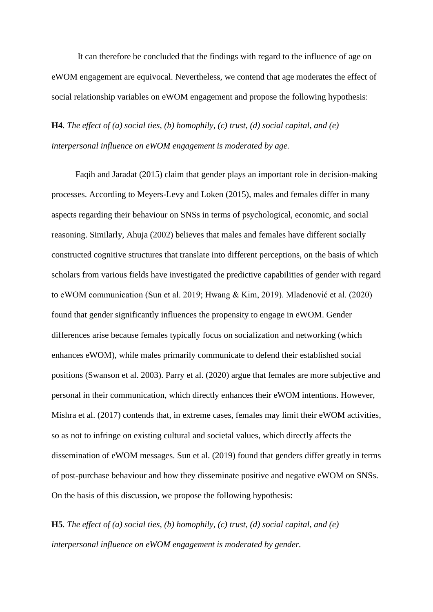It can therefore be concluded that the findings with regard to the influence of age on eWOM engagement are equivocal. Nevertheless, we contend that age moderates the effect of social relationship variables on eWOM engagement and propose the following hypothesis:

**H4**. *The effect of (a) social ties, (b) homophily, (c) trust, (d) social capital, and (e) interpersonal influence on eWOM engagement is moderated by age.*

 Faqih and Jaradat (2015) claim that gender plays an important role in decision-making processes. According to Meyers-Levy and Loken (2015), males and females differ in many aspects regarding their behaviour on SNSs in terms of psychological, economic, and social reasoning. Similarly, Ahuja (2002) believes that males and females have different socially constructed cognitive structures that translate into different perceptions, on the basis of which scholars from various fields have investigated the predictive capabilities of gender with regard to eWOM communication (Sun et al. 2019; Hwang & Kim, 2019). Mladenović et al. (2020) found that gender significantly influences the propensity to engage in eWOM. Gender differences arise because females typically focus on socialization and networking (which enhances eWOM), while males primarily communicate to defend their established social positions (Swanson et al. 2003). Parry et al. (2020) argue that females are more subjective and personal in their communication, which directly enhances their eWOM intentions. However, Mishra et al. (2017) contends that, in extreme cases, females may limit their eWOM activities, so as not to infringe on existing cultural and societal values, which directly affects the dissemination of eWOM messages. Sun et al. (2019) found that genders differ greatly in terms of post-purchase behaviour and how they disseminate positive and negative eWOM on SNSs. On the basis of this discussion, we propose the following hypothesis:

**H5**. *The effect of (a) social ties, (b) homophily, (c) trust, (d) social capital, and (e) interpersonal influence on eWOM engagement is moderated by gender.*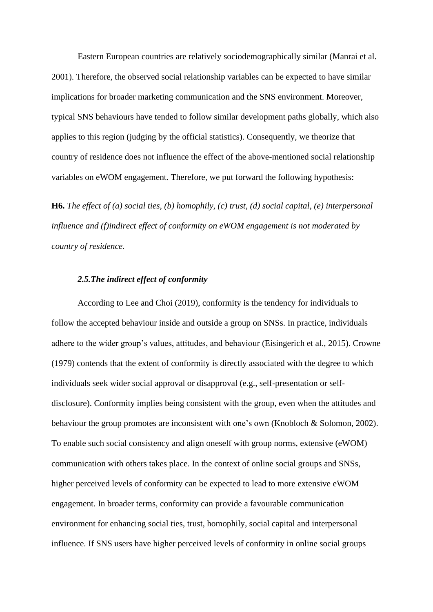Eastern European countries are relatively sociodemographically similar (Manrai et al. 2001). Therefore, the observed social relationship variables can be expected to have similar implications for broader marketing communication and the SNS environment. Moreover, typical SNS behaviours have tended to follow similar development paths globally, which also applies to this region (judging by the official statistics). Consequently, we theorize that country of residence does not influence the effect of the above-mentioned social relationship variables on eWOM engagement. Therefore, we put forward the following hypothesis:

**H6.** *The effect of (a) social ties, (b) homophily, (c) trust, (d) social capital, (e) interpersonal influence and (f)indirect effect of conformity on eWOM engagement is not moderated by country of residence.*

#### *2.5.The indirect effect of conformity*

According to Lee and Choi (2019), conformity is the tendency for individuals to follow the accepted behaviour inside and outside a group on SNSs. In practice, individuals adhere to the wider group's values, attitudes, and behaviour (Eisingerich et al., 2015). Crowne (1979) contends that the extent of conformity is directly associated with the degree to which individuals seek wider social approval or disapproval (e.g., self-presentation or selfdisclosure). Conformity implies being consistent with the group, even when the attitudes and behaviour the group promotes are inconsistent with one's own (Knobloch & Solomon, 2002). To enable such social consistency and align oneself with group norms, extensive (eWOM) communication with others takes place. In the context of online social groups and SNSs, higher perceived levels of conformity can be expected to lead to more extensive eWOM engagement. In broader terms, conformity can provide a favourable communication environment for enhancing social ties, trust, homophily, social capital and interpersonal influence. If SNS users have higher perceived levels of conformity in online social groups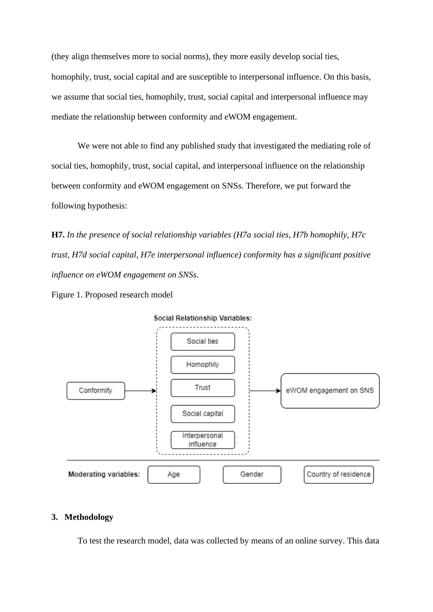(they align themselves more to social norms), they more easily develop social ties, homophily, trust, social capital and are susceptible to interpersonal influence. On this basis, we assume that social ties, homophily, trust, social capital and interpersonal influence may mediate the relationship between conformity and eWOM engagement.

We were not able to find any published study that investigated the mediating role of social ties, homophily, trust, social capital, and interpersonal influence on the relationship between conformity and eWOM engagement on SNSs. Therefore, we put forward the following hypothesis:

**H7.** *In the presence of social relationship variables (H7a social ties, H7b homophily, H7c trust, H7d social capital, H7e interpersonal influence) conformity has a significant positive influence on eWOM engagement on SNSs.*





#### **3. Methodology**

To test the research model, data was collected by means of an online survey. This data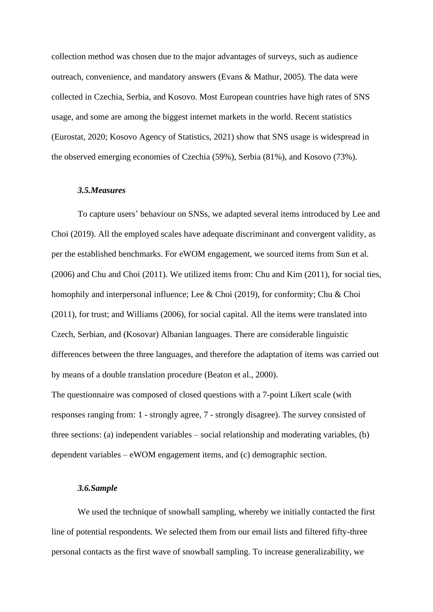collection method was chosen due to the major advantages of surveys, such as audience outreach, convenience, and mandatory answers (Evans & Mathur, 2005). The data were collected in Czechia, Serbia, and Kosovo. Most European countries have high rates of SNS usage, and some are among the biggest internet markets in the world. Recent statistics (Eurostat, 2020; Kosovo Agency of Statistics, 2021) show that SNS usage is widespread in the observed emerging economies of Czechia (59%), Serbia (81%), and Kosovo (73%).

#### *3.5.Measures*

To capture users' behaviour on SNSs, we adapted several items introduced by Lee and Choi (2019). All the employed scales have adequate discriminant and convergent validity, as per the established benchmarks. For eWOM engagement, we sourced items from Sun et al. (2006) and Chu and Choi (2011). We utilized items from: Chu and Kim (2011), for social ties, homophily and interpersonal influence; Lee & Choi (2019), for conformity; Chu & Choi (2011), for trust; and Williams (2006), for social capital. All the items were translated into Czech, Serbian, and (Kosovar) Albanian languages. There are considerable linguistic differences between the three languages, and therefore the adaptation of items was carried out by means of a double translation procedure (Beaton et al., 2000).

The questionnaire was composed of closed questions with a 7-point Likert scale (with responses ranging from: 1 - strongly agree, 7 - strongly disagree). The survey consisted of three sections: (a) independent variables – social relationship and moderating variables, (b) dependent variables – eWOM engagement items, and (c) demographic section.

#### *3.6.Sample*

We used the technique of snowball sampling, whereby we initially contacted the first line of potential respondents. We selected them from our email lists and filtered fifty-three personal contacts as the first wave of snowball sampling. To increase generalizability, we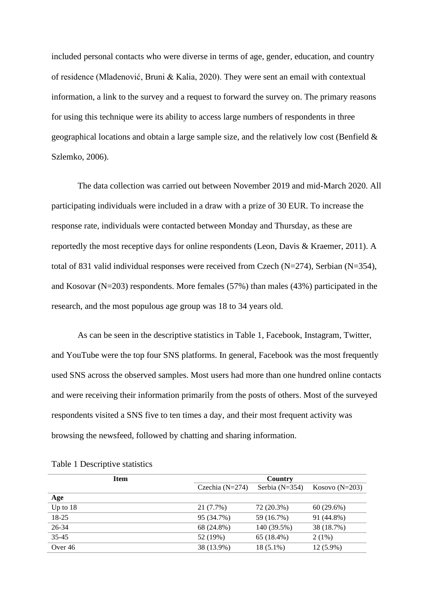included personal contacts who were diverse in terms of age, gender, education, and country of residence (Mladenović, Bruni & Kalia, 2020). They were sent an email with contextual information, a link to the survey and a request to forward the survey on. The primary reasons for using this technique were its ability to access large numbers of respondents in three geographical locations and obtain a large sample size, and the relatively low cost (Benfield & Szlemko, 2006).

The data collection was carried out between November 2019 and mid-March 2020. All participating individuals were included in a draw with a prize of 30 EUR. To increase the response rate, individuals were contacted between Monday and Thursday, as these are reportedly the most receptive days for online respondents (Leon, Davis & Kraemer, 2011). A total of 831 valid individual responses were received from Czech (N=274), Serbian (N=354), and Kosovar (N=203) respondents. More females (57%) than males (43%) participated in the research, and the most populous age group was 18 to 34 years old.

As can be seen in the descriptive statistics in Table 1, Facebook, Instagram, Twitter, and YouTube were the top four SNS platforms. In general, Facebook was the most frequently used SNS across the observed samples. Most users had more than one hundred online contacts and were receiving their information primarily from the posts of others. Most of the surveyed respondents visited a SNS five to ten times a day, and their most frequent activity was browsing the newsfeed, followed by chatting and sharing information.

| <b>Item</b> |                   | Country          |                    |
|-------------|-------------------|------------------|--------------------|
|             | Czechia $(N=274)$ | Serbia $(N=354)$ | Kosovo ( $N=203$ ) |
| Age         |                   |                  |                    |
| Up to $18$  | 21 (7.7%)         | 72 (20.3%)       | 60(29.6%)          |
| 18-25       | 95 (34.7%)        | 59 (16.7%)       | 91 (44.8%)         |
| 26-34       | 68 (24.8%)        | 140 (39.5%)      | 38 (18.7%)         |
| $35 - 45$   | 52 (19%)          | 65 (18.4%)       | $2(1\%)$           |
| Over 46     | 38 (13.9%)        | $18(5.1\%)$      | $12(5.9\%)$        |

|  |  | Table 1 Descriptive statistics |  |
|--|--|--------------------------------|--|
|--|--|--------------------------------|--|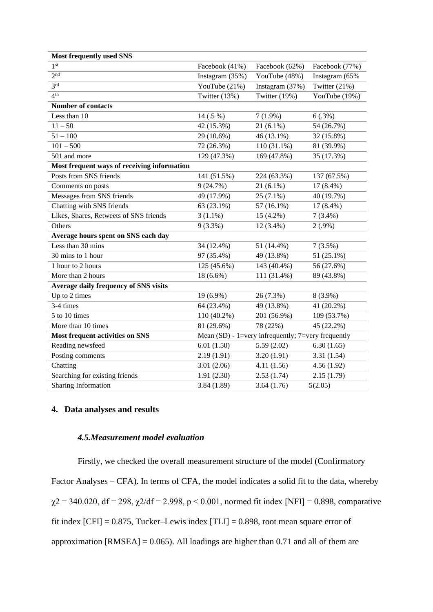| <b>Most frequently used SNS</b>             |                 |                                                      |                |
|---------------------------------------------|-----------------|------------------------------------------------------|----------------|
| 1 <sup>st</sup>                             | Facebook (41%)  | Facebook (62%)                                       | Facebook (77%) |
| $\overline{2^{nd}}$                         | Instagram (35%) | YouTube (48%)                                        | Instagram (65% |
| 3 <sup>rd</sup>                             | YouTube (21%)   | Instagram (37%)                                      | Twitter (21%)  |
| 4 <sup>th</sup>                             | Twitter (13%)   | Twitter (19%)                                        | YouTube (19%)  |
| <b>Number of contacts</b>                   |                 |                                                      |                |
| Less than 10                                | 14 (.5 %)       | $7(1.9\%)$                                           | 6(.3%)         |
| $11 - 50$                                   | 42 (15.3%)      | $21(6.1\%)$                                          | 54 (26.7%)     |
| $51 - 100$                                  | 29 (10.6%)      | 46 (13.1%)                                           | 32 (15.8%)     |
| $101 - 500$                                 | 72 (26.3%)      | $110(31.1\%)$                                        | 81 (39.9%)     |
| 501 and more                                | 129 (47.3%)     | 169 (47.8%)                                          | 35 (17.3%)     |
| Most frequent ways of receiving information |                 |                                                      |                |
| Posts from SNS friends                      | 141 (51.5%)     | 224 (63.3%)                                          | 137 (67.5%)    |
| Comments on posts                           | 9(24.7%)        | $21(6.1\%)$                                          | $17(8.4\%)$    |
| Messages from SNS friends                   | 49 (17.9%)      | $25(7.1\%)$                                          | 40 (19.7%)     |
| Chatting with SNS friends                   | 63 (23.1%)      | 57 (16.1%)                                           | $17(8.4\%)$    |
| Likes, Shares, Retweets of SNS friends      | $3(1.1\%)$      | 15 (4.2%)                                            | $7(3.4\%)$     |
| Others                                      | $9(3.3\%)$      | $12(3.4\%)$                                          | $2(.9\%)$      |
| Average hours spent on SNS each day         |                 |                                                      |                |
| Less than 30 mins                           | 34 (12.4%)      | 51 (14.4%)                                           | 7(3.5%)        |
| 30 mins to 1 hour                           | 97 (35.4%)      | 49 (13.8%)                                           | 51 (25.1%)     |
| 1 hour to 2 hours                           | 125 (45.6%)     | 143 (40.4%)                                          | 56 (27.6%)     |
| More than 2 hours                           | 18 (6.6%)       | 111 (31.4%)                                          | 89 (43.8%)     |
| Average daily frequency of SNS visits       |                 |                                                      |                |
| Up to 2 times                               | 19 (6.9%)       | 26 (7.3%)                                            | $8(3.9\%)$     |
| 3-4 times                                   | 64 (23.4%)      | 49 (13.8%)                                           | 41 (20.2%)     |
| 5 to 10 times                               | 110 (40.2%)     | 201 (56.9%)                                          | 109 (53.7%)    |
| More than 10 times                          | 81 (29.6%)      | 78 (22%)                                             | 45 (22.2%)     |
| <b>Most frequent activities on SNS</b>      |                 | Mean $(SD)$ - 1=very infrequently; 7=very frequently |                |
| Reading newsfeed                            | 6.01(1.50)      | 5.59(2.02)                                           | 6.30(1.65)     |
| Posting comments                            | 2.19(1.91)      | 3.20(1.91)                                           | 3.31(1.54)     |
| Chatting                                    | 3.01(2.06)      | 4.11(1.56)                                           | 4.56(1.92)     |
| Searching for existing friends              | 1.91(2.30)      | 2.53(1.74)                                           | 2.15(1.79)     |
| Sharing Information                         | 3.84(1.89)      | 3.64(1.76)                                           | 5(2.05)        |

#### **4. Data analyses and results**

#### *4.5.Measurement model evaluation*

Firstly, we checked the overall measurement structure of the model (Confirmatory Factor Analyses – CFA). In terms of CFA, the model indicates a solid fit to the data, whereby  $\chi$ 2 = 340.020, df = 298,  $\chi$ 2/df = 2.998, p < 0.001, normed fit index [NFI] = 0.898, comparative fit index  $[CFI] = 0.875$ , Tucker–Lewis index  $[TLI] = 0.898$ , root mean square error of approximation  $[RMSEA] = 0.065$ . All loadings are higher than 0.71 and all of them are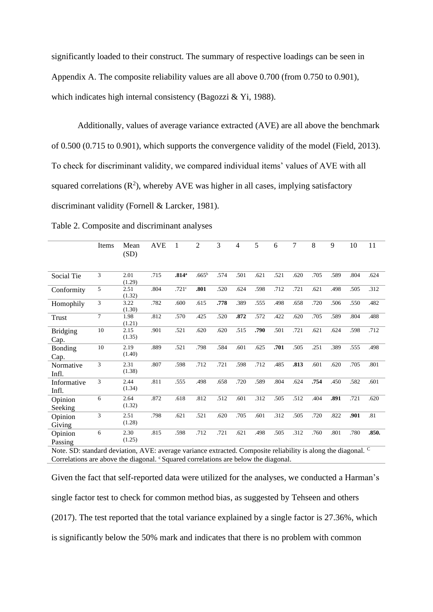significantly loaded to their construct. The summary of respective loadings can be seen in Appendix A. The composite reliability values are all above 0.700 (from 0.750 to 0.901), which indicates high internal consistency (Bagozzi & Yi, 1988).

Additionally, values of average variance extracted (AVE) are all above the benchmark of 0.500 (0.715 to 0.901), which supports the convergence validity of the model (Field, 2013). To check for discriminant validity, we compared individual items' values of AVE with all squared correlations  $(R^2)$ , whereby AVE was higher in all cases, implying satisfactory discriminant validity (Fornell & Larcker, 1981).

|                         | Items          | Mean<br>(SD)   | <b>AVE</b> | 1                 | $\overline{2}$ | 3    | 4    | 5    | 6    | 7    | 8    | 9    | 10   | 11    |
|-------------------------|----------------|----------------|------------|-------------------|----------------|------|------|------|------|------|------|------|------|-------|
| Social Tie              | 3              | 2.01<br>(1.29) | .715       | .814 <sup>a</sup> | $.665^{\rm b}$ | .574 | .501 | .621 | .521 | .620 | .705 | .589 | .804 | .624  |
| Conformity              | 5              | 2.51<br>(1.32) | .804       | .721 <sup>c</sup> | .801           | .520 | .624 | .598 | .712 | .721 | .621 | .498 | .505 | .312  |
| Homophily               | 3              | 3.22<br>(1.30) | .782       | .600              | .615           | .778 | .389 | .555 | .498 | .658 | .720 | .506 | .550 | .482  |
| Trust                   | $\overline{7}$ | 1.98<br>(1.21) | .812       | .570              | .425           | .520 | .872 | .572 | .422 | .620 | .705 | .589 | .804 | .488  |
| <b>Bridging</b><br>Cap. | 10             | 2.15<br>(1.35) | .901       | .521              | .620           | .620 | .515 | .790 | .501 | .721 | .621 | .624 | .598 | .712  |
| Bonding<br>Cap.         | 10             | 2.19<br>(1.40) | .889       | .521              | .798           | .584 | .601 | .625 | .701 | .505 | .251 | .389 | .555 | .498  |
| Normative<br>Infl.      | 3              | 2.31<br>(1.38) | .807       | .598              | .712           | .721 | .598 | .712 | .485 | .813 | .601 | .620 | .705 | .801  |
| Informative<br>Infl.    | 3              | 2.44<br>(1.34) | .811       | .555              | .498           | .658 | .720 | .589 | .804 | .624 | .754 | .450 | .582 | .601  |
| Opinion<br>Seeking      | 6              | 2.64<br>(1.32) | .872       | .618              | .812           | .512 | .601 | .312 | .505 | .512 | .404 | .891 | .721 | .620  |
| Opinion<br>Giving       | 3              | 2.51<br>(1.28) | .798       | .621              | .521           | .620 | .705 | .601 | .312 | .505 | .720 | .822 | .901 | .81   |
| Opinion<br>Passing      | 6              | 2.30<br>(1.25) | .815       | .598              | .712           | .721 | .621 | .498 | .505 | .312 | .760 | .801 | .780 | .850. |

Table 2. Composite and discriminant analyses

Note. SD: standard deviation, AVE: average variance extracted. Composite reliability is along the diagonal. <sup>C</sup> Correlations are above the diagonal. <sup>c</sup>Squared correlations are below the diagonal.

Given the fact that self-reported data were utilized for the analyses, we conducted a Harman's single factor test to check for common method bias, as suggested by Tehseen and others (2017). The test reported that the total variance explained by a single factor is 27.36%, which is significantly below the 50% mark and indicates that there is no problem with common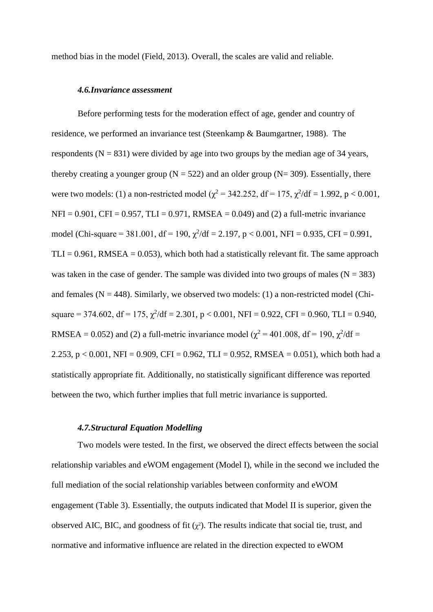method bias in the model (Field, 2013). Overall, the scales are valid and reliable.

#### *4.6.Invariance assessment*

Before performing tests for the moderation effect of age, gender and country of residence, we performed an invariance test (Steenkamp & Baumgartner, 1988). The respondents ( $N = 831$ ) were divided by age into two groups by the median age of 34 years, thereby creating a younger group ( $N = 522$ ) and an older group ( $N = 309$ ). Essentially, there were two models: (1) a non-restricted model ( $\chi^2$  = 342.252, df = 175,  $\chi^2$ /df = 1.992, p < 0.001,  $NFI = 0.901$ ,  $CFI = 0.957$ ,  $TLI = 0.971$ ,  $RMSEA = 0.049$  and (2) a full-metric invariance model (Chi-square = 381.001, df = 190,  $\chi^2$ /df = 2.197, p < 0.001, NFI = 0.935, CFI = 0.991,  $TLI = 0.961$ , RMSEA = 0.053), which both had a statistically relevant fit. The same approach was taken in the case of gender. The sample was divided into two groups of males  $(N = 383)$ and females ( $N = 448$ ). Similarly, we observed two models: (1) a non-restricted model (Chisquare = 374.602, df = 175,  $\chi^2$ /df = 2.301, p < 0.001, NFI = 0.922, CFI = 0.960, TLI = 0.940, RMSEA = 0.052) and (2) a full-metric invariance model ( $\chi^2$  = 401.008, df = 190,  $\chi^2$ /df = 2.253, p < 0.001, NFI = 0.909, CFI = 0.962, TLI = 0.952, RMSEA = 0.051), which both had a statistically appropriate fit. Additionally, no statistically significant difference was reported between the two, which further implies that full metric invariance is supported.

#### *4.7.Structural Equation Modelling*

Two models were tested. In the first, we observed the direct effects between the social relationship variables and eWOM engagement (Model I), while in the second we included the full mediation of the social relationship variables between conformity and eWOM engagement (Table 3). Essentially, the outputs indicated that Model II is superior, given the observed AIC, BIC, and goodness of fit  $(\chi^2)$ . The results indicate that social tie, trust, and normative and informative influence are related in the direction expected to eWOM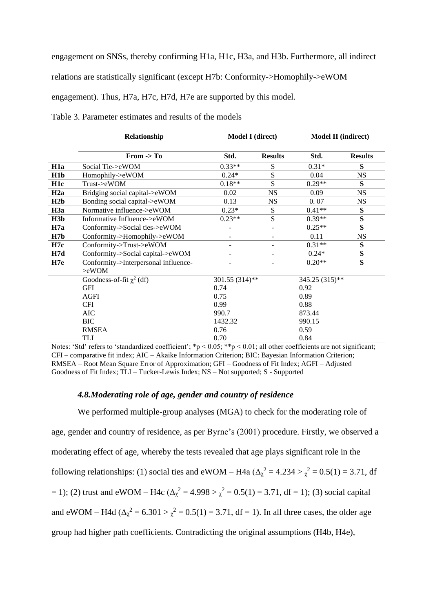engagement on SNSs, thereby confirming H1a, H1c, H3a, and H3b. Furthermore, all indirect

relations are statistically significant (except H7b: Conformity->Homophily->eWOM

engagement). Thus, H7a, H7c, H7d, H7e are supported by this model.

|                  | Relationship                                          |                          | <b>Model I</b> (direct)      | <b>Model II (indirect)</b> |                |
|------------------|-------------------------------------------------------|--------------------------|------------------------------|----------------------------|----------------|
|                  | From $\rightarrow$ To                                 | Std.                     | <b>Results</b>               | Std.                       | <b>Results</b> |
| H <sub>1</sub> a | Social Tie->eWOM                                      | $0.33**$                 | S                            | $0.31*$                    | S              |
| H1b              | Homophily->eWOM                                       | $0.24*$                  | S                            | 0.04                       | <b>NS</b>      |
| H <sub>1</sub> c | Trust->eWOM                                           | $0.18**$                 | S                            | $0.29**$                   | S              |
| H2a              | Bridging social capital->eWOM                         | 0.02                     | <b>NS</b>                    | 0.09                       | NS             |
| H2b              | Bonding social capital->eWOM                          | 0.13                     | <b>NS</b>                    | 0.07                       | <b>NS</b>      |
| H3a              | Normative influence->eWOM                             | $0.23*$                  | S                            | $0.41**$                   | S              |
| H3b              | Informative Influence->eWOM                           | $0.23**$                 | S                            | $0.39**$                   | S              |
| H7a              | Conformity->Social ties->eWOM                         | $\overline{\phantom{a}}$ | $\overline{\phantom{a}}$     | $0.25**$                   | S              |
| H7b              | Conformity->Homophily->eWOM                           | $\overline{\phantom{a}}$ | $\overline{\phantom{a}}$     | 0.11                       | <b>NS</b>      |
| H7c              | Conformity->Trust->eWOM                               | $\overline{\phantom{a}}$ | $\qquad \qquad \blacksquare$ | $0.31**$                   | S              |
| H7d              | Conformity->Social capital->eWOM                      | $\overline{a}$           | -                            | $0.24*$                    | S              |
| H7e              | Conformity->Interpersonal influence-<br>$>\infty$ WOM |                          |                              | $0.20**$                   | S              |
|                  | Goodness-of-fit $\chi^2$ (df)                         | 301.55 (314)**           |                              | 345.25 (315)**             |                |
|                  | GFI                                                   | 0.74                     |                              | 0.92                       |                |
|                  | <b>AGFI</b>                                           | 0.75                     |                              | 0.89                       |                |
|                  | <b>CFI</b>                                            | 0.99                     |                              | 0.88                       |                |
|                  | <b>AIC</b>                                            | 990.7                    |                              | 873.44                     |                |
|                  | <b>BIC</b>                                            | 1432.32                  |                              | 990.15                     |                |
|                  | <b>RMSEA</b>                                          | 0.76                     |                              | 0.59                       |                |
|                  | TLI                                                   | 0.70                     |                              | 0.84                       |                |

Table 3. Parameter estimates and results of the models

Notes: 'Std' refers to 'standardized coefficient';  $*_p$  < 0.05;  $*_p$  < 0.01; all other coefficients are not significant; CFI – comparative fit index; AIC – Akaike Information Criterion; BIC: Bayesian Information Criterion; RMSEA – Root Mean Square Error of Approximation; GFI – Goodness of Fit Index; AGFI – Adjusted Goodness of Fit Index; TLI – Tucker-Lewis Index; NS – Not supported; S - Supported

#### *4.8.Moderating role of age, gender and country of residence*

We performed multiple-group analyses (MGA) to check for the moderating role of age, gender and country of residence, as per Byrne's (2001) procedure. Firstly, we observed a moderating effect of age, whereby the tests revealed that age plays significant role in the following relationships: (1) social ties and eWOM – H4a ( $\Delta_{\chi}^2 = 4.234 > \chi^2 = 0.5(1) = 3.71$ , df = 1); (2) trust and eWOM – H4c  $(\Delta_{\chi}^2 = 4.998 > \chi^2 = 0.5(1) = 3.71$ , df = 1); (3) social capital and eWOM – H4d  $(\Delta_{\chi}^2 = 6.301 > \chi^2 = 0.5(1) = 3.71$ , df = 1). In all three cases, the older age group had higher path coefficients. Contradicting the original assumptions (H4b, H4e),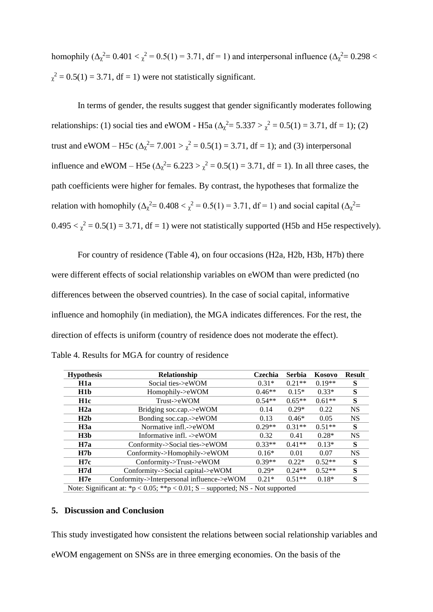homophily ( $\Delta_{\chi}^2 = 0.401 < \chi^2 = 0.5(1) = 3.71$ , df = 1) and interpersonal influence ( $\Delta_{\chi}^2 = 0.298 <$  $\chi^2 = 0.5(1) = 3.71$ , df = 1) were not statistically significant.

In terms of gender, the results suggest that gender significantly moderates following relationships: (1) social ties and eWOM - H5a ( $\Delta_{\chi}^2 = 5.337 > \chi^2 = 0.5(1) = 3.71$ , df = 1); (2) trust and eWOM – H5c ( $\Delta_{\chi}^2$  = 7.001 >  $\chi^2$  = 0.5(1) = 3.71, df = 1); and (3) interpersonal influence and eWOM – H5e  $(\Delta_{\chi}^2 = 6.223 > \chi^2 = 0.5(1) = 3.71$ , df = 1). In all three cases, the path coefficients were higher for females. By contrast, the hypotheses that formalize the relation with homophily ( $\Delta_{\chi}^2 = 0.408 < \chi^2 = 0.5(1) = 3.71$ , df = 1) and social capital ( $\Delta_{\chi}^2 =$  $0.495 < \chi^2 = 0.5(1) = 3.71$ , df = 1) were not statistically supported (H5b and H5e respectively).

For country of residence (Table 4), on four occasions (H2a, H2b, H3b, H7b) there were different effects of social relationship variables on eWOM than were predicted (no differences between the observed countries). In the case of social capital, informative influence and homophily (in mediation), the MGA indicates differences. For the rest, the direction of effects is uniform (country of residence does not moderate the effect).

| <b>Hypothesis</b> | <b>Relationship</b>                                                            | Czechia  | <b>Serbia</b> | Kosovo   | <b>Result</b> |  |  |
|-------------------|--------------------------------------------------------------------------------|----------|---------------|----------|---------------|--|--|
| H <sub>1</sub> a  | Social ties->eWOM                                                              | $0.31*$  | $0.21**$      | $0.19**$ | S             |  |  |
| H <sub>1</sub> b  | Homophily->eWOM                                                                | $0.46**$ | $0.15*$       | $0.33*$  | S             |  |  |
| H <sub>1</sub> c  | Trust > eWOM                                                                   | $0.54**$ | $0.65**$      | $0.61**$ | S             |  |  |
| H2a               | Bridging soc.cap.->eWOM                                                        | 0.14     | $0.29*$       | 0.22     | <b>NS</b>     |  |  |
| H2b               | Bonding soc.cap.->eWOM                                                         | 0.13     | $0.46*$       | 0.05     | <b>NS</b>     |  |  |
| H3a               | Normative infl.- $\geq$ eWOM                                                   | $0.29**$ | $0.31**$      | $0.51**$ | S             |  |  |
| H3b               | Informative infl. - $\gtrsim$ eWOM                                             | 0.32     | 0.41          | $0.28*$  | <b>NS</b>     |  |  |
| H7a               | Conformity- $>$ Social ties- $>$ eWOM                                          | $0.33**$ | $0.41**$      | $0.13*$  | S             |  |  |
| H7b               | Conformity->Homophily->eWOM                                                    | $0.16*$  | 0.01          | 0.07     | <b>NS</b>     |  |  |
| H7c               | Conformity->Trust->eWOM                                                        | $0.39**$ | $0.22*$       | $0.52**$ | S             |  |  |
| H7d               | Conformity->Social capital->eWOM                                               | $0.29*$  | $0.24**$      | $0.52**$ | S             |  |  |
| H7e               | Conformity->Interpersonal influence->eWOM                                      | $0.21*$  | $0.51**$      | $0.18*$  | S             |  |  |
|                   | Note: Significant at: *p < 0.05; **p < 0.01; S – supported; NS - Not supported |          |               |          |               |  |  |

Table 4. Results for MGA for country of residence

#### **5. Discussion and Conclusion**

This study investigated how consistent the relations between social relationship variables and eWOM engagement on SNSs are in three emerging economies. On the basis of the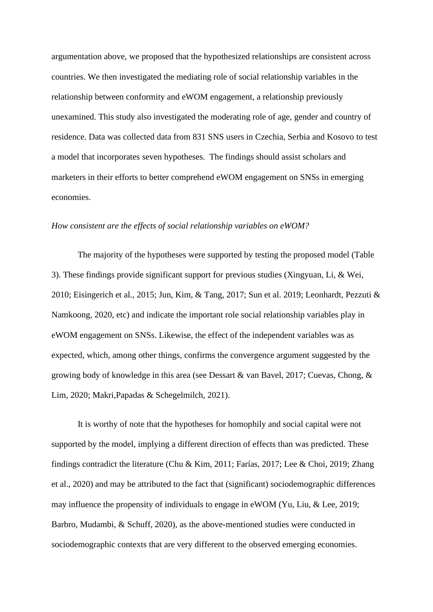argumentation above, we proposed that the hypothesized relationships are consistent across countries. We then investigated the mediating role of social relationship variables in the relationship between conformity and eWOM engagement, a relationship previously unexamined. This study also investigated the moderating role of age, gender and country of residence. Data was collected data from 831 SNS users in Czechia, Serbia and Kosovo to test a model that incorporates seven hypotheses. The findings should assist scholars and marketers in their efforts to better comprehend eWOM engagement on SNSs in emerging economies.

#### *How consistent are the effects of social relationship variables on eWOM?*

The majority of the hypotheses were supported by testing the proposed model (Table 3). These findings provide significant support for previous studies (Xingyuan, Li, & Wei, 2010; Eisingerich et al., 2015; Jun, Kim, & Tang, 2017; Sun et al. 2019; Leonhardt, Pezzuti & Namkoong, 2020, etc) and indicate the important role social relationship variables play in eWOM engagement on SNSs. Likewise, the effect of the independent variables was as expected, which, among other things, confirms the convergence argument suggested by the growing body of knowledge in this area (see Dessart & van Bavel, 2017; Cuevas, Chong, & Lim, 2020; Makri,Papadas & Schegelmilch, 2021).

It is worthy of note that the hypotheses for homophily and social capital were not supported by the model, implying a different direction of effects than was predicted. These findings contradict the literature (Chu & Kim, 2011; Farías, 2017; Lee & Choi, 2019; Zhang et al., 2020) and may be attributed to the fact that (significant) sociodemographic differences may influence the propensity of individuals to engage in eWOM (Yu, Liu, & Lee, 2019; Barbro, Mudambi, & Schuff, 2020), as the above-mentioned studies were conducted in sociodemographic contexts that are very different to the observed emerging economies.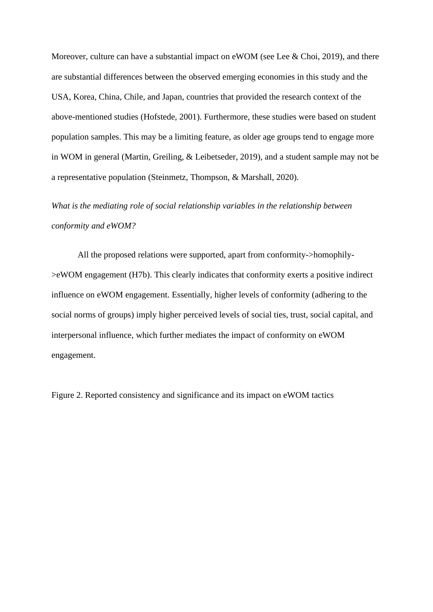Moreover, culture can have a substantial impact on eWOM (see Lee & Choi, 2019), and there are substantial differences between the observed emerging economies in this study and the USA, Korea, China, Chile, and Japan, countries that provided the research context of the above-mentioned studies (Hofstede, 2001). Furthermore, these studies were based on student population samples. This may be a limiting feature, as older age groups tend to engage more in WOM in general (Martin, Greiling, & Leibetseder, 2019), and a student sample may not be a representative population (Steinmetz, Thompson, & Marshall, 2020).

### *What is the mediating role of social relationship variables in the relationship between conformity and eWOM?*

All the proposed relations were supported, apart from conformity->homophily- >eWOM engagement (H7b). This clearly indicates that conformity exerts a positive indirect influence on eWOM engagement. Essentially, higher levels of conformity (adhering to the social norms of groups) imply higher perceived levels of social ties, trust, social capital, and interpersonal influence, which further mediates the impact of conformity on eWOM engagement.

Figure 2. Reported consistency and significance and its impact on eWOM tactics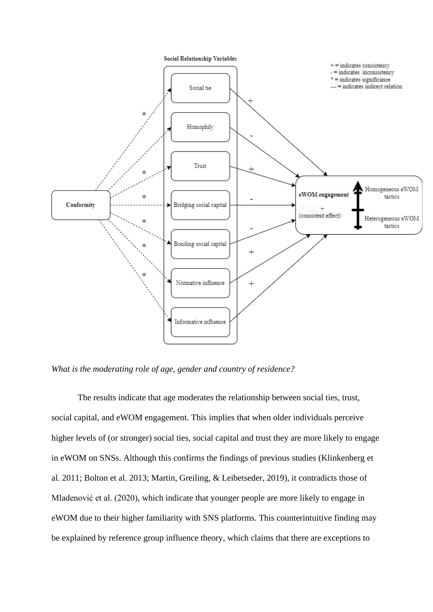

*What is the moderating role of age, gender and country of residence?*

The results indicate that age moderates the relationship between social ties, trust, social capital, and eWOM engagement. This implies that when older individuals perceive higher levels of (or stronger) social ties, social capital and trust they are more likely to engage in eWOM on SNSs. Although this confirms the findings of previous studies (Klinkenberg et al. 2011; Bolton et al. 2013; Martin, Greiling, & Leibetseder, 2019), it contradicts those of Mladenović et al. (2020), which indicate that younger people are more likely to engage in eWOM due to their higher familiarity with SNS platforms. This counterintuitive finding may be explained by reference group influence theory, which claims that there are exceptions to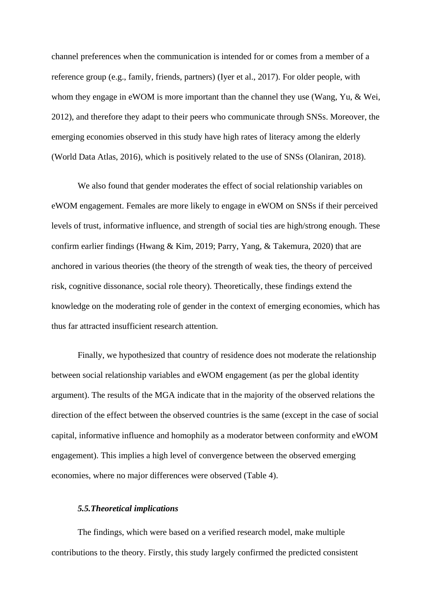channel preferences when the communication is intended for or comes from a member of a reference group (e.g., family, friends, partners) (Iyer et al., 2017). For older people, with whom they engage in eWOM is more important than the channel they use (Wang, Yu, & Wei, 2012), and therefore they adapt to their peers who communicate through SNSs. Moreover, the emerging economies observed in this study have high rates of literacy among the elderly (World Data Atlas, 2016), which is positively related to the use of SNSs (Olaniran, 2018).

We also found that gender moderates the effect of social relationship variables on eWOM engagement. Females are more likely to engage in eWOM on SNSs if their perceived levels of trust, informative influence, and strength of social ties are high/strong enough. These confirm earlier findings (Hwang & Kim, 2019; Parry, Yang, & Takemura, 2020) that are anchored in various theories (the theory of the strength of weak ties, the theory of perceived risk, cognitive dissonance, social role theory). Theoretically, these findings extend the knowledge on the moderating role of gender in the context of emerging economies, which has thus far attracted insufficient research attention.

Finally, we hypothesized that country of residence does not moderate the relationship between social relationship variables and eWOM engagement (as per the global identity argument). The results of the MGA indicate that in the majority of the observed relations the direction of the effect between the observed countries is the same (except in the case of social capital, informative influence and homophily as a moderator between conformity and eWOM engagement). This implies a high level of convergence between the observed emerging economies, where no major differences were observed (Table 4).

#### *5.5.Theoretical implications*

The findings, which were based on a verified research model, make multiple contributions to the theory. Firstly, this study largely confirmed the predicted consistent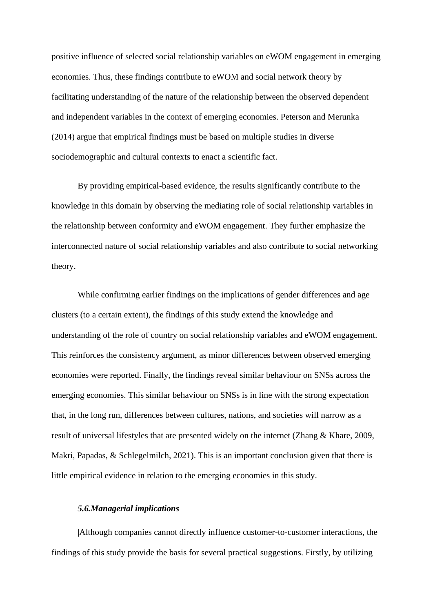positive influence of selected social relationship variables on eWOM engagement in emerging economies. Thus, these findings contribute to eWOM and social network theory by facilitating understanding of the nature of the relationship between the observed dependent and independent variables in the context of emerging economies. Peterson and Merunka (2014) argue that empirical findings must be based on multiple studies in diverse sociodemographic and cultural contexts to enact a scientific fact.

By providing empirical-based evidence, the results significantly contribute to the knowledge in this domain by observing the mediating role of social relationship variables in the relationship between conformity and eWOM engagement. They further emphasize the interconnected nature of social relationship variables and also contribute to social networking theory.

While confirming earlier findings on the implications of gender differences and age clusters (to a certain extent), the findings of this study extend the knowledge and understanding of the role of country on social relationship variables and eWOM engagement. This reinforces the consistency argument, as minor differences between observed emerging economies were reported. Finally, the findings reveal similar behaviour on SNSs across the emerging economies. This similar behaviour on SNSs is in line with the strong expectation that, in the long run, differences between cultures, nations, and societies will narrow as a result of universal lifestyles that are presented widely on the internet (Zhang & Khare, 2009, Makri, Papadas, & Schlegelmilch, 2021). This is an important conclusion given that there is little empirical evidence in relation to the emerging economies in this study.

#### *5.6.Managerial implications*

|Although companies cannot directly influence customer-to-customer interactions, the findings of this study provide the basis for several practical suggestions. Firstly, by utilizing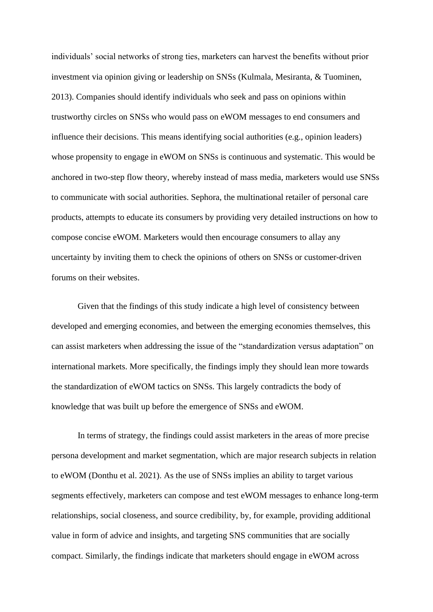individuals' social networks of strong ties, marketers can harvest the benefits without prior investment via opinion giving or leadership on SNSs (Kulmala, Mesiranta, & Tuominen, 2013). Companies should identify individuals who seek and pass on opinions within trustworthy circles on SNSs who would pass on eWOM messages to end consumers and influence their decisions. This means identifying social authorities (e.g., opinion leaders) whose propensity to engage in eWOM on SNSs is continuous and systematic. This would be anchored in two-step flow theory, whereby instead of mass media, marketers would use SNSs to communicate with social authorities. Sephora, the multinational retailer of personal care products, attempts to educate its consumers by providing very detailed instructions on how to compose concise eWOM. Marketers would then encourage consumers to allay any uncertainty by inviting them to check the opinions of others on SNSs or customer-driven forums on their websites.

Given that the findings of this study indicate a high level of consistency between developed and emerging economies, and between the emerging economies themselves, this can assist marketers when addressing the issue of the "standardization versus adaptation" on international markets. More specifically, the findings imply they should lean more towards the standardization of eWOM tactics on SNSs. This largely contradicts the body of knowledge that was built up before the emergence of SNSs and eWOM.

In terms of strategy, the findings could assist marketers in the areas of more precise persona development and market segmentation, which are major research subjects in relation to eWOM (Donthu et al. 2021). As the use of SNSs implies an ability to target various segments effectively, marketers can compose and test eWOM messages to enhance long-term relationships, social closeness, and source credibility, by, for example, providing additional value in form of advice and insights, and targeting SNS communities that are socially compact. Similarly, the findings indicate that marketers should engage in eWOM across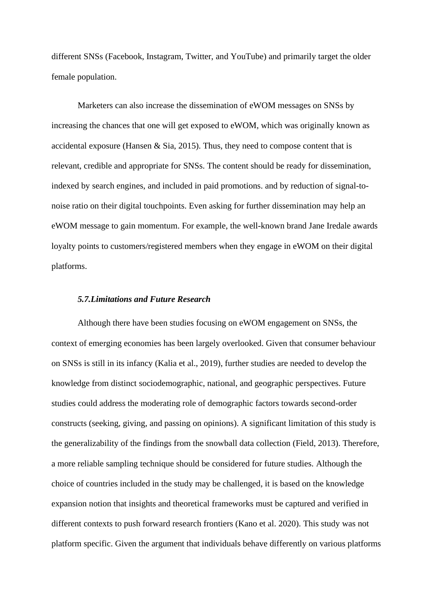different SNSs (Facebook, Instagram, Twitter, and YouTube) and primarily target the older female population.

Marketers can also increase the dissemination of eWOM messages on SNSs by increasing the chances that one will get exposed to eWOM, which was originally known as accidental exposure (Hansen  $\&$  Sia, 2015). Thus, they need to compose content that is relevant, credible and appropriate for SNSs. The content should be ready for dissemination, indexed by search engines, and included in paid promotions. and by reduction of signal-tonoise ratio on their digital touchpoints. Even asking for further dissemination may help an eWOM message to gain momentum. For example, the well-known brand Jane Iredale awards loyalty points to customers/registered members when they engage in eWOM on their digital platforms.

#### *5.7.Limitations and Future Research*

Although there have been studies focusing on eWOM engagement on SNSs, the context of emerging economies has been largely overlooked. Given that consumer behaviour on SNSs is still in its infancy (Kalia et al., 2019), further studies are needed to develop the knowledge from distinct sociodemographic, national, and geographic perspectives. Future studies could address the moderating role of demographic factors towards second-order constructs (seeking, giving, and passing on opinions). A significant limitation of this study is the generalizability of the findings from the snowball data collection (Field, 2013). Therefore, a more reliable sampling technique should be considered for future studies. Although the choice of countries included in the study may be challenged, it is based on the knowledge expansion notion that insights and theoretical frameworks must be captured and verified in different contexts to push forward research frontiers (Kano et al. 2020). This study was not platform specific. Given the argument that individuals behave differently on various platforms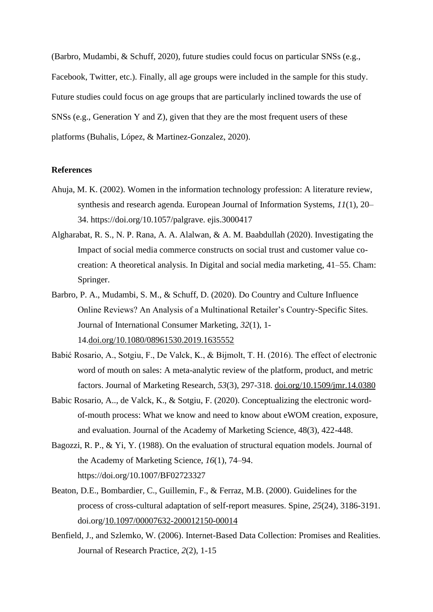(Barbro, Mudambi, & Schuff, 2020), future studies could focus on particular SNSs (e.g., Facebook, Twitter, etc.). Finally, all age groups were included in the sample for this study. Future studies could focus on age groups that are particularly inclined towards the use of SNSs (e.g., Generation Y and Z), given that they are the most frequent users of these platforms (Buhalis, López, & Martinez-Gonzalez, 2020).

#### **References**

- Ahuja, M. K. (2002). Women in the information technology profession: A literature review, synthesis and research agenda. European Journal of Information Systems, *11*(1), 20– 34. https://doi.org/10.1057/palgrave. ejis.3000417
- Algharabat, R. S., N. P. Rana, A. A. Alalwan, & A. M. Baabdullah (2020). Investigating the Impact of social media commerce constructs on social trust and customer value cocreation: A theoretical analysis. In Digital and social media marketing, 41–55. Cham: Springer.
- Barbro, P. A., Mudambi, S. M., & Schuff, D. (2020). Do Country and Culture Influence Online Reviews? An Analysis of a Multinational Retailer's Country-Specific Sites. Journal of International Consumer Marketing, *32*(1), 1- 14.doi.org/10.1080/08961530.2019.1635552
- Babić Rosario, A., Sotgiu, F., De Valck, K., & Bijmolt, T. H. (2016). The effect of electronic word of mouth on sales: A meta-analytic review of the platform, product, and metric factors. Journal of Marketing Research, *53*(3), 297-318. doi.org/10.1509/jmr.14.0380
- Babic Rosario, A.., de Valck, K., & Sotgiu, F. (2020). Conceptualizing the electronic wordof-mouth process: What we know and need to know about eWOM creation, exposure, and evaluation. Journal of the Academy of Marketing Science, 48(3), 422-448.
- Bagozzi, R. P., & Yi, Y. (1988). On the evaluation of structural equation models. Journal of the Academy of Marketing Science, *16*(1), 74–94. https://doi.org/10.1007/BF02723327
- Beaton, D.E., Bombardier, C., Guillemin, F., & Ferraz, M.B. (2000). Guidelines for the process of cross-cultural adaptation of self-report measures. Spine, *25*(24), 3186-3191. doi.org/10.1097/00007632-200012150-00014
- Benfield, J., and Szlemko, W. (2006). Internet-Based Data Collection: Promises and Realities. Journal of Research Practice, *2*(2), 1-15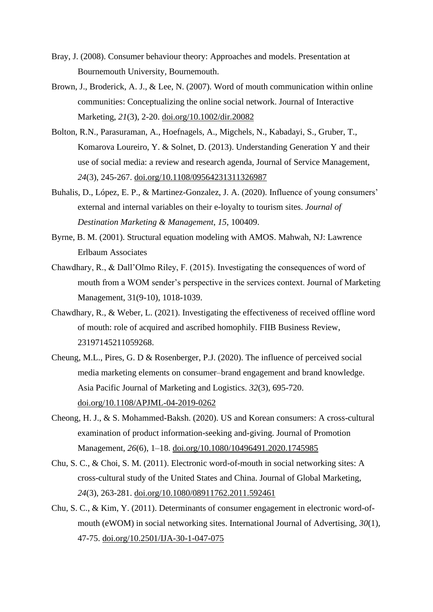- Bray, J. (2008). Consumer behaviour theory: Approaches and models. Presentation at Bournemouth University, Bournemouth.
- Brown, J., Broderick, A. J., & Lee, N. (2007). Word of mouth communication within online communities: Conceptualizing the online social network. Journal of Interactive Marketing, *21*(3), 2-20. doi.org/10.1002/dir.20082
- Bolton, R.N., Parasuraman, A., Hoefnagels, A., Migchels, N., Kabadayi, S., Gruber, T., Komarova Loureiro, Y. & Solnet, D. (2013). Understanding Generation Y and their use of social media: a review and research agenda, Journal of Service Management, *24*(3), 245-267. doi.org/10.1108/09564231311326987
- Buhalis, D., López, E. P., & Martinez-Gonzalez, J. A. (2020). Influence of young consumers' external and internal variables on their e-loyalty to tourism sites. *Journal of Destination Marketing & Management*, *15*, 100409.
- Byrne, B. M. (2001). Structural equation modeling with AMOS. Mahwah, NJ: Lawrence Erlbaum Associates
- Chawdhary, R., & Dall'Olmo Riley, F. (2015). Investigating the consequences of word of mouth from a WOM sender's perspective in the services context. Journal of Marketing Management, 31(9-10), 1018-1039.
- Chawdhary, R., & Weber, L. (2021). Investigating the effectiveness of received offline word of mouth: role of acquired and ascribed homophily. FIIB Business Review, 23197145211059268.
- Cheung, M.L., Pires, G. D & Rosenberger, P.J. (2020). The influence of perceived social media marketing elements on consumer–brand engagement and brand knowledge. Asia Pacific Journal of Marketing and Logistics. *32*(3), 695-720. doi.org/10.1108/APJML-04-2019-0262
- Cheong, H. J., & S. Mohammed-Baksh. (2020). US and Korean consumers: A cross-cultural examination of product information-seeking and-giving. Journal of Promotion Management, *26*(6), 1–18. doi.org/10.1080/10496491.2020.1745985
- Chu, S. C., & Choi, S. M. (2011). Electronic word-of-mouth in social networking sites: A cross-cultural study of the United States and China. Journal of Global Marketing, *24*(3), 263-281. doi.org/10.1080/08911762.2011.592461
- Chu, S. C., & Kim, Y. (2011). Determinants of consumer engagement in electronic word-ofmouth (eWOM) in social networking sites. International Journal of Advertising, *30*(1), 47-75. doi.org/10.2501/IJA-30-1-047-075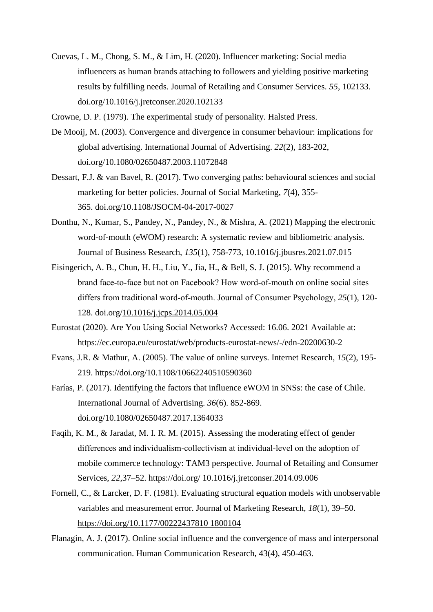Cuevas, L. M., Chong, S. M., & Lim, H. (2020). Influencer marketing: Social media influencers as human brands attaching to followers and yielding positive marketing results by fulfilling needs. Journal of Retailing and Consumer Services. *55*, 102133. doi.org/10.1016/j.jretconser.2020.102133

Crowne, D. P. (1979). The experimental study of personality. Halsted Press.

- De Mooij, M. (2003). Convergence and divergence in consumer behaviour: implications for global advertising. International Journal of Advertising. *22*(2), 183-202, doi.org/10.1080/02650487.2003.11072848
- Dessart, F.J. & van Bavel, R. (2017). Two converging paths: behavioural sciences and social marketing for better policies. Journal of Social Marketing, *7*(4), 355- 365. doi.org/10.1108/JSOCM-04-2017-0027
- Donthu, N., Kumar, S., Pandey, N., Pandey, N., & Mishra, A. (2021) Mapping the electronic word-of-mouth (eWOM) research: A systematic review and bibliometric analysis. Journal of Business Research, *135*(1), 758-773, 10.1016/j.jbusres.2021.07.015
- Eisingerich, A. B., Chun, H. H., Liu, Y., Jia, H., & Bell, S. J. (2015). Why recommend a brand face‐to‐face but not on Facebook? How word‐of‐mouth on online social sites differs from traditional word‐of‐mouth. Journal of Consumer Psychology, *25*(1), 120- 128. doi.org/10.1016/j.jcps.2014.05.004
- Eurostat (2020). Are You Using Social Networks? Accessed: 16.06. 2021 Available at: https://ec.europa.eu/eurostat/web/products-eurostat-news/-/edn-20200630-2
- Evans, J.R. & Mathur, A. (2005). The value of online surveys. Internet Research, *15*(2), 195- 219. https://doi.org/10.1108/10662240510590360
- Farías, P. (2017). Identifying the factors that influence eWOM in SNSs: the case of Chile. International Journal of Advertising. *36*(6). 852-869. doi.org/10.1080/02650487.2017.1364033
- Faqih, K. M., & Jaradat, M. I. R. M. (2015). Assessing the moderating effect of gender differences and individualism‐collectivism at individual‐level on the adoption of mobile commerce technology: TAM3 perspective. Journal of Retailing and Consumer Services, *22*,37–52. https://doi.org/ 10.1016/j.jretconser.2014.09.006
- Fornell, C., & Larcker, D. F. (1981). Evaluating structural equation models with unobservable variables and measurement error. Journal of Marketing Research, *18*(1), 39–50. https://doi.org/10.1177/00222437810 1800104
- Flanagin, A. J. (2017). Online social influence and the convergence of mass and interpersonal communication. Human Communication Research, 43(4), 450-463.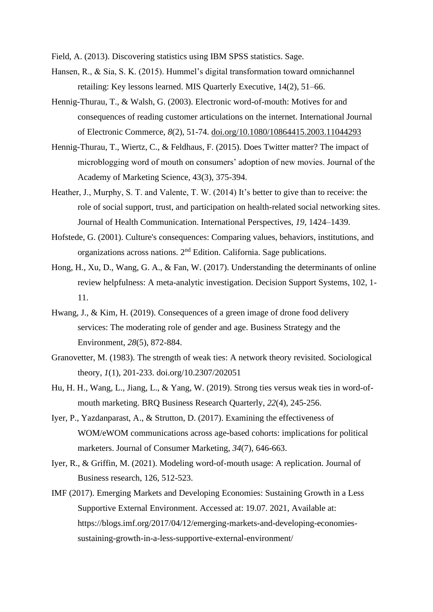Field, A. (2013). Discovering statistics using IBM SPSS statistics. Sage.

- Hansen, R., & Sia, S. K. (2015). Hummel's digital transformation toward omnichannel retailing: Key lessons learned. MIS Quarterly Executive, 14(2), 51–66.
- Hennig-Thurau, T., & Walsh, G. (2003). Electronic word-of-mouth: Motives for and consequences of reading customer articulations on the internet. International Journal of Electronic Commerce, *8*(2), 51-74. doi.org/10.1080/10864415.2003.11044293
- Hennig-Thurau, T., Wiertz, C., & Feldhaus, F. (2015). Does Twitter matter? The impact of microblogging word of mouth on consumers' adoption of new movies. Journal of the Academy of Marketing Science, 43(3), 375-394.
- Heather, J., Murphy, S. T. and Valente, T. W. (2014) It's better to give than to receive: the role of social support, trust, and participation on health-related social networking sites. Journal of Health Communication. International Perspectives, *19*, 1424–1439.
- Hofstede, G. (2001). Culture's consequences: Comparing values, behaviors, institutions, and organizations across nations. 2nd Edition. California. Sage publications.
- Hong, H., Xu, D., Wang, G. A., & Fan, W. (2017). Understanding the determinants of online review helpfulness: A meta-analytic investigation. Decision Support Systems, 102, 1- 11.
- Hwang, J., & Kim, H. (2019). Consequences of a green image of drone food delivery services: The moderating role of gender and age. Business Strategy and the Environment, *28*(5), 872-884.
- Granovetter, M. (1983). The strength of weak ties: A network theory revisited. Sociological theory, *1*(1), 201-233. doi.org/10.2307/202051
- Hu, H. H., Wang, L., Jiang, L., & Yang, W. (2019). Strong ties versus weak ties in word-ofmouth marketing. BRQ Business Research Quarterly, *22*(4), 245-256.
- Iyer, P., Yazdanparast, A., & Strutton, D. (2017). Examining the effectiveness of WOM/eWOM communications across age-based cohorts: implications for political marketers. Journal of Consumer Marketing, *34*(7), 646-663.
- Iyer, R., & Griffin, M. (2021). Modeling word-of-mouth usage: A replication. Journal of Business research, 126, 512-523.
- IMF (2017). Emerging Markets and Developing Economies: Sustaining Growth in a Less Supportive External Environment. Accessed at: 19.07. 2021, Available at: https://blogs.imf.org/2017/04/12/emerging-markets-and-developing-economiessustaining-growth-in-a-less-supportive-external-environment/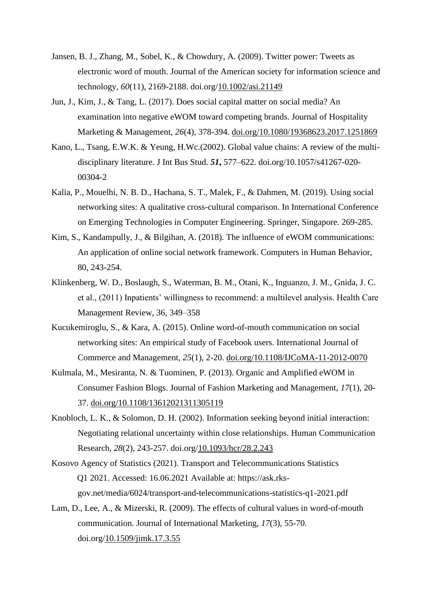- Jansen, B. J., Zhang, M., Sobel, K., & Chowdury, A. (2009). Twitter power: Tweets as electronic word of mouth. Journal of the American society for information science and technology, *60*(11), 2169-2188. doi.org/10.1002/asi.21149
- Jun, J., Kim, J., & Tang, L. (2017). Does social capital matter on social media? An examination into negative eWOM toward competing brands. Journal of Hospitality Marketing & Management, *26*(4), 378-394. doi.org/10.1080/19368623.2017.1251869
- Kano, L., Tsang, E.W.K. & Yeung, H.Wc.(2002). Global value chains: A review of the multidisciplinary literature. J Int Bus Stud*. 51***,** 577–622. doi.org/10.1057/s41267-020- 00304-2
- Kalia, P., Mouelhi, N. B. D., Hachana, S. T., Malek, F., & Dahmen, M. (2019). Using social networking sites: A qualitative cross-cultural comparison. In International Conference on Emerging Technologies in Computer Engineering. Springer, Singapore. 269-285.
- Kim, S., Kandampully, J., & Bilgihan, A. (2018). The influence of eWOM communications: An application of online social network framework. Computers in Human Behavior, 80, 243-254.
- Klinkenberg, W. D., Boslaugh, S., Waterman, B. M., Otani, K., Inguanzo, J. M., Gnida, J. C. et al., (2011) Inpatients' willingness to recommend: a multilevel analysis. Health Care Management Review, 36, 349–358
- Kucukemiroglu, S., & Kara, A. (2015). Online word-of-mouth communication on social networking sites: An empirical study of Facebook users. International Journal of Commerce and Management, *25*(1), 2-20. doi.org/10.1108/IJCoMA-11-2012-0070
- Kulmala, M., Mesiranta, N. & Tuominen, P. (2013). Organic and Amplified eWOM in Consumer Fashion Blogs. Journal of Fashion Marketing and Management, *17*(1), 20- 37. doi.org/10.1108/13612021311305119
- Knobloch, L. K., & Solomon, D. H. (2002). Information seeking beyond initial interaction: Negotiating relational uncertainty within close relationships. Human Communication Research, *28*(2), 243-257. doi.org/10.1093/hcr/28.2.243
- Kosovo Agency of Statistics (2021). Transport and Telecommunications Statistics Q1 2021. Accessed: 16.06.2021 Available at: https://ask.rksgov.net/media/6024/transport-and-telecommunications-statistics-q1-2021.pdf
- Lam, D., Lee, A., & Mizerski, R. (2009). The effects of cultural values in word-of-mouth communication. Journal of International Marketing, *17*(3), 55-70. doi.org/10.1509/jimk.17.3.55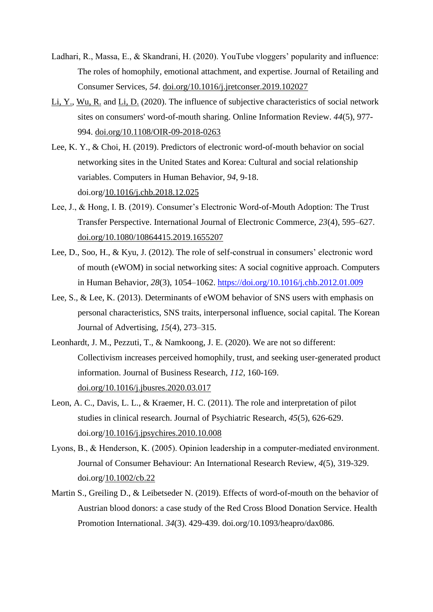- Ladhari, R., Massa, E., & Skandrani, H. (2020). YouTube vloggers' popularity and influence: The roles of homophily, emotional attachment, and expertise. Journal of Retailing and Consumer Services, *54*. doi.org/10.1016/j.jretconser.2019.102027
- Li, Y., Wu, R. and Li, D. (2020). The influence of subjective characteristics of social network sites on consumers' word-of-mouth sharing. Online Information Review. *44*(5), 977- 994. doi.org/10.1108/OIR-09-2018-0263
- Lee, K. Y., & Choi, H. (2019). Predictors of electronic word-of-mouth behavior on social networking sites in the United States and Korea: Cultural and social relationship variables. Computers in Human Behavior, *94*, 9-18. doi.org/10.1016/j.chb.2018.12.025
- Lee, J., & Hong, I. B. (2019). Consumer's Electronic Word-of-Mouth Adoption: The Trust Transfer Perspective. International Journal of Electronic Commerce, *23*(4), 595–627. doi.org/10.1080/10864415.2019.1655207
- Lee, D., Soo, H., & Kyu, J. (2012). The role of self-construal in consumers' electronic word of mouth (eWOM) in social networking sites: A social cognitive approach. Computers in Human Behavior, *28*(3), 1054–1062. https://doi.org/10.1016/j.chb.2012.01.009
- Lee, S., & Lee, K. (2013). Determinants of eWOM behavior of SNS users with emphasis on personal characteristics, SNS traits, interpersonal influence, social capital. The Korean Journal of Advertising, *15*(4), 273–315.
- Leonhardt, J. M., Pezzuti, T., & Namkoong, J. E. (2020). We are not so different: Collectivism increases perceived homophily, trust, and seeking user-generated product information. Journal of Business Research, *112*, 160-169. doi.org/10.1016/j.jbusres.2020.03.017
- Leon, A. C., Davis, L. L., & Kraemer, H. C. (2011). The role and interpretation of pilot studies in clinical research. Journal of Psychiatric Research, *45*(5), 626-629. doi.org/10.1016/j.jpsychires.2010.10.008
- Lyons, B., & Henderson, K. (2005). Opinion leadership in a computer-mediated environment. Journal of Consumer Behaviour: An International Research Review, *4*(5), 319-329. doi.org/10.1002/cb.22
- Martin S., Greiling D., & Leibetseder N. (2019). Effects of word-of-mouth on the behavior of Austrian blood donors: a case study of the Red Cross Blood Donation Service. Health Promotion International. *34*(3). 429-439. doi.org/10.1093/heapro/dax086.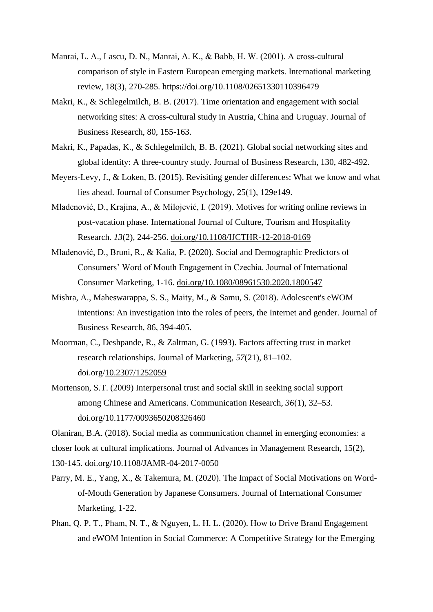- Manrai, L. A., Lascu, D. N., Manrai, A. K., & Babb, H. W. (2001). A cross-cultural comparison of style in Eastern European emerging markets. International marketing review, 18(3), 270-285. https://doi.org/10.1108/02651330110396479
- Makri, K., & Schlegelmilch, B. B. (2017). Time orientation and engagement with social networking sites: A cross-cultural study in Austria, China and Uruguay. Journal of Business Research, 80, 155-163.
- Makri, K., Papadas, K., & Schlegelmilch, B. B. (2021). Global social networking sites and global identity: A three-country study. Journal of Business Research, 130, 482-492.
- Meyers-Levy, J., & Loken, B. (2015). Revisiting gender differences: What we know and what lies ahead. Journal of Consumer Psychology, 25(1), 129e149.
- Mladenović, D., Krajina, A., & Milojević, I. (2019). Motives for writing online reviews in post-vacation phase. International Journal of Culture, Tourism and Hospitality Research. *13*(2), 244-256. doi.org/10.1108/IJCTHR-12-2018-0169
- Mladenović, D., Bruni, R., & Kalia, P. (2020). Social and Demographic Predictors of Consumers' Word of Mouth Engagement in Czechia. Journal of International Consumer Marketing, 1-16. doi.org/10.1080/08961530.2020.1800547
- Mishra, A., Maheswarappa, S. S., Maity, M., & Samu, S. (2018). Adolescent's eWOM intentions: An investigation into the roles of peers, the Internet and gender. Journal of Business Research, 86, 394-405.
- Moorman, C., Deshpande, R., & Zaltman, G. (1993). Factors affecting trust in market research relationships. Journal of Marketing, *57*(21), 81–102. doi.org/10.2307/1252059
- Mortenson, S.T. (2009) Interpersonal trust and social skill in seeking social support among Chinese and Americans. Communication Research, *36*(1), 32–53. doi.org/10.1177/0093650208326460

Olaniran, B.A. (2018). Social media as communication channel in emerging economies: a closer look at cultural implications. Journal of Advances in Management Research, 15(2), 130-145. doi.org/10.1108/JAMR-04-2017-0050

- Parry, M. E., Yang, X., & Takemura, M. (2020). The Impact of Social Motivations on Wordof-Mouth Generation by Japanese Consumers. Journal of International Consumer Marketing, 1-22.
- Phan, Q. P. T., Pham, N. T., & Nguyen, L. H. L. (2020). How to Drive Brand Engagement and eWOM Intention in Social Commerce: A Competitive Strategy for the Emerging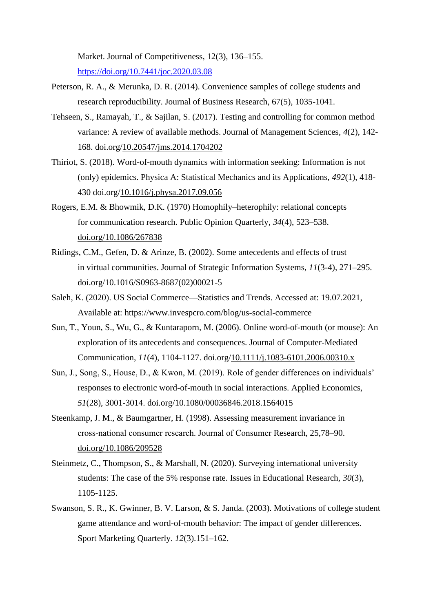Market. Journal of Competitiveness, 12(3), 136–155. https://doi.org/10.7441/joc.2020.03.08

- Peterson, R. A., & Merunka, D. R. (2014). Convenience samples of college students and research reproducibility. Journal of Business Research, 67(5), 1035-1041.
- Tehseen, S., Ramayah, T., & Sajilan, S. (2017). Testing and controlling for common method variance: A review of available methods. Journal of Management Sciences, *4*(2), 142- 168. doi.org/10.20547/jms.2014.1704202
- Thiriot, S. (2018). Word-of-mouth dynamics with information seeking: Information is not (only) epidemics. Physica A: Statistical Mechanics and its Applications, *492*(1), 418- 430 doi.org/10.1016/j.physa.2017.09.056
- Rogers, E.M. & Bhowmik, D.K. (1970) Homophily–heterophily: relational concepts for communication research. Public Opinion Quarterly, *34*(4), 523–538. doi.org/10.1086/267838
- Ridings, C.M., Gefen, D. & Arinze, B. (2002). Some antecedents and effects of trust in virtual communities. Journal of Strategic Information Systems, *11*(3-4), 271–295. doi.org/10.1016/S0963-8687(02)00021-5
- Saleh, K. (2020). US Social Commerce—Statistics and Trends. Accessed at: 19.07.2021, Available at: https://www.invespcro.com/blog/us-social-commerce
- Sun, T., Youn, S., Wu, G., & Kuntaraporn, M. (2006). Online word-of-mouth (or mouse): An exploration of its antecedents and consequences. Journal of Computer-Mediated Communication, *11*(4), 1104-1127. doi.org/10.1111/j.1083-6101.2006.00310.x
- Sun, J., Song, S., House, D., & Kwon, M. (2019). Role of gender differences on individuals' responses to electronic word-of-mouth in social interactions. Applied Economics, *51*(28), 3001-3014. doi.org/10.1080/00036846.2018.1564015
- Steenkamp, J. M., & Baumgartner, H. (1998). Assessing measurement invariance in cross‐national consumer research. Journal of Consumer Research, 25,78–90. doi.org/10.1086/209528
- Steinmetz, C., Thompson, S., & Marshall, N. (2020). Surveying international university students: The case of the 5% response rate. Issues in Educational Research, *30*(3), 1105-1125.
- Swanson, S. R., K. Gwinner, B. V. Larson, & S. Janda. (2003). Motivations of college student game attendance and word-of-mouth behavior: The impact of gender differences. Sport Marketing Quarterly. *12*(3).151–162.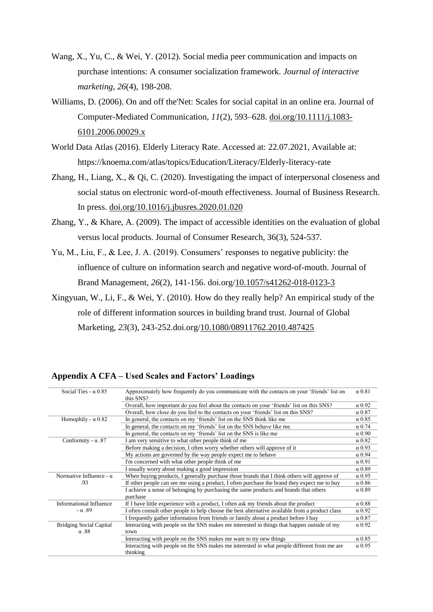- Wang, X., Yu, C., & Wei, Y. (2012). Social media peer communication and impacts on purchase intentions: A consumer socialization framework. *Journal of interactive marketing*, *26*(4), 198-208.
- Williams, D. (2006). On and off the'Net: Scales for social capital in an online era. Journal of Computer-Mediated Communication, *11*(2), 593–628. doi.org/10.1111/j.1083- 6101.2006.00029.x
- World Data Atlas (2016). Elderly Literacy Rate. Accessed at: 22.07.2021, Available at: https://knoema.com/atlas/topics/Education/Literacy/Elderly-literacy-rate
- Zhang, H., Liang, X., & Qi, C. (2020). Investigating the impact of interpersonal closeness and social status on electronic word-of-mouth effectiveness. Journal of Business Research. In press. doi.org/10.1016/j.jbusres.2020.01.020
- Zhang, Y., & Khare, A. (2009). The impact of accessible identities on the evaluation of global versus local products. Journal of Consumer Research, 36(3), 524-537.
- Yu, M., Liu, F., & Lee, J. A. (2019). Consumers' responses to negative publicity: the influence of culture on information search and negative word-of-mouth. Journal of Brand Management, *26*(2), 141-156. doi.org/10.1057/s41262-018-0123-3
- Xingyuan, W., Li, F., & Wei, Y. (2010). How do they really help? An empirical study of the role of different information sources in building brand trust. Journal of Global Marketing, *23*(3), 243-252.doi.org/10.1080/08911762.2010.487425

| Approximately how frequently do you communicate with the contacts on your 'friends' list on<br>this SNS? | $\alpha$ 0.81                                                                                                                                                             |
|----------------------------------------------------------------------------------------------------------|---------------------------------------------------------------------------------------------------------------------------------------------------------------------------|
| Overall, how important do you feel about the contacts on your 'friends' list on this SNS?                | $\alpha$ 0.92                                                                                                                                                             |
| Overall, how close do you feel to the contacts on your 'friends' list on this SNS?                       | $\alpha$ 0.87                                                                                                                                                             |
| In general, the contacts on my 'friends' list on the SNS think like me                                   | $\alpha$ 0.85                                                                                                                                                             |
| In general, the contacts on my 'friends' list on the SNS behave like me                                  | $\alpha$ 0.74                                                                                                                                                             |
| In general, the contacts on my 'friends' list on the SNS is like me                                      | $\alpha$ 0.90                                                                                                                                                             |
| I am very sensitive to what other people think of me                                                     | $\alpha$ 0.82                                                                                                                                                             |
| Before making a decision, I often worry whether others will approve of it                                | $\alpha$ 0.93                                                                                                                                                             |
| My actions are governed by the way people expect me to behave                                            | $\alpha$ 0.94                                                                                                                                                             |
| I'm concerned with what other people think of me                                                         | $\alpha$ 0.91                                                                                                                                                             |
| I usually worry about making a good impression                                                           | $\alpha$ 0.89                                                                                                                                                             |
| When buying products, I generally purchase those brands that I think others will approve of              | $\alpha$ 0.95                                                                                                                                                             |
| If other people can see me using a product, I often purchase the brand they expect me to buy             | $\alpha$ 0.86                                                                                                                                                             |
| I achieve a sense of belonging by purchasing the same products and brands that others<br>purchase        | $\alpha$ 0.89                                                                                                                                                             |
| If I have little experience with a product, I often ask my friends about the product                     | $\alpha$ 0.88                                                                                                                                                             |
| I often consult other people to help choose the best alternative available from a product class          | $\alpha$ 0.92                                                                                                                                                             |
| I frequently gather information from friends or family about a product before I buy                      | $\alpha$ 0.87                                                                                                                                                             |
| Interacting with people on the SNS makes me interested in things that happen outside of my               | $\alpha$ 0.92                                                                                                                                                             |
|                                                                                                          |                                                                                                                                                                           |
|                                                                                                          | $\alpha$ 0.85                                                                                                                                                             |
| thinking                                                                                                 | $\alpha$ 0.95                                                                                                                                                             |
|                                                                                                          | town<br>Interacting with people on the SNS makes me want to try new things<br>Interacting with people on the SNS makes me interested in what people different from me are |

#### **Appendix A CFA – Used Scales and Factors' Loadings**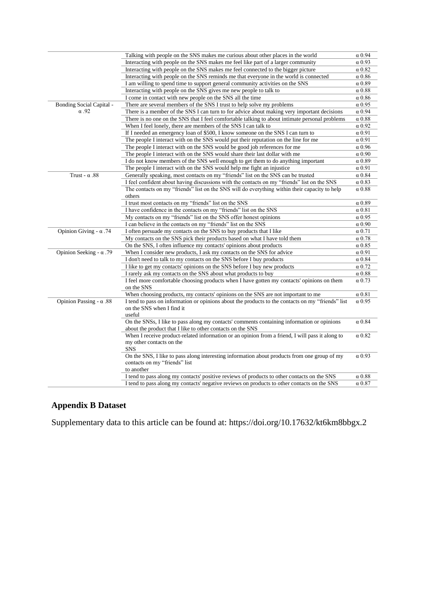|                                 | Talking with people on the SNS makes me curious about other places in the world                   | $\alpha$ 0.94 |
|---------------------------------|---------------------------------------------------------------------------------------------------|---------------|
|                                 | Interacting with people on the SNS makes me feel like part of a larger community                  | $\alpha$ 0.93 |
|                                 | Interacting with people on the SNS makes me feel connected to the bigger picture                  | $\alpha$ 0.82 |
|                                 | Interacting with people on the SNS reminds me that everyone in the world is connected             | α 0.86        |
|                                 | I am willing to spend time to support general community activities on the SNS                     | $\alpha$ 0.89 |
|                                 | Interacting with people on the SNS gives me new people to talk to                                 | $\alpha$ 0.88 |
|                                 | I come in contact with new people on the SNS all the time                                         | $\alpha$ 0.86 |
| <b>Bonding Social Capital -</b> | There are several members of the SNS I trust to help solve my problems                            | $\alpha$ 0.95 |
| $\alpha$ .92                    | There is a member of the SNS I can turn to for advice about making very important decisions       | $\alpha$ 0.94 |
|                                 | There is no one on the SNS that I feel comfortable talking to about intimate personal problems    | $\alpha$ 0.88 |
|                                 | When I feel lonely, there are members of the SNS I can talk to                                    | $\alpha$ 0.92 |
|                                 | If I needed an emergency loan of \$500, I know someone on the SNS I can turn to                   | $\alpha$ 0.91 |
|                                 | The people I interact with on the SNS would put their reputation on the line for me               | $\alpha$ 0.91 |
|                                 | The people I interact with on the SNS would be good job references for me                         | $\alpha$ 0.96 |
|                                 | The people I interact with on the SNS would share their last dollar with me                       | $\alpha$ 0.90 |
|                                 | I do not know members of the SNS well enough to get them to do anything important                 | $\alpha$ 0.89 |
|                                 | The people I interact with on the SNS would help me fight an injustice                            | $\alpha$ 0.91 |
| Trust - $\alpha$ .88            | Generally speaking, most contacts on my "friends" list on the SNS can be trusted                  | $\alpha$ 0.84 |
|                                 | I feel confident about having discussions with the contacts on my "friends" list on the SNS       | $\alpha$ 0.83 |
|                                 | The contacts on my "friends" list on the SNS will do everything within their capacity to help     | $\alpha$ 0.88 |
|                                 | others                                                                                            |               |
|                                 | I trust most contacts on my "friends" list on the SNS                                             | $\alpha$ 0.89 |
|                                 | I have confidence in the contacts on my "friends" list on the SNS                                 | $\alpha$ 0.81 |
|                                 | My contacts on my "friends" list on the SNS offer honest opinions                                 | $\alpha$ 0.95 |
|                                 | I can believe in the contacts on my "friends" list on the SNS                                     | $\alpha$ 0.90 |
| Opinion Giving - $\alpha$ .74   | I often persuade my contacts on the SNS to buy products that I like                               | $\alpha$ 0.71 |
|                                 | My contacts on the SNS pick their products based on what I have told them                         | $\alpha$ 0.78 |
|                                 | On the SNS, I often influence my contacts' opinions about products                                | $\alpha$ 0.85 |
| Opinion Seeking - $\alpha$ .79  | When I consider new products, I ask my contacts on the SNS for advice                             | $\alpha$ 0.91 |
|                                 | I don't need to talk to my contacts on the SNS before I buy products                              | $\alpha$ 0.84 |
|                                 | I like to get my contacts' opinions on the SNS before I buy new products                          | $\alpha$ 0.72 |
|                                 | I rarely ask my contacts on the SNS about what products to buy                                    | $\alpha$ 0.88 |
|                                 | I feel more comfortable choosing products when I have gotten my contacts' opinions on them        | $\alpha$ 0.73 |
|                                 | on the SNS                                                                                        |               |
|                                 | When choosing products, my contacts' opinions on the SNS are not important to me                  | $\alpha$ 0.81 |
| Opinion Passing - $\alpha$ .88  | I tend to pass on information or opinions about the products to the contacts on my "friends" list | $\alpha$ 0.95 |
|                                 | on the SNS when I find it<br>useful                                                               |               |
|                                 | On the SNSs, I like to pass along my contacts' comments containing information or opinions        | $\alpha$ 0.84 |
|                                 | about the product that I like to other contacts on the SNS                                        |               |
|                                 | When I receive product-related information or an opinion from a friend, I will pass it along to   | $\alpha$ 0.82 |
|                                 | my other contacts on the                                                                          |               |
|                                 | <b>SNS</b>                                                                                        |               |
|                                 | On the SNS, I like to pass along interesting information about products from one group of my      | $\alpha$ 0.93 |
|                                 | contacts on my "friends" list                                                                     |               |
|                                 | to another                                                                                        |               |
|                                 | I tend to pass along my contacts' positive reviews of products to other contacts on the SNS       | $\alpha$ 0.88 |
|                                 | I tend to pass along my contacts' negative reviews on products to other contacts on the SNS       | $\alpha$ 0.87 |
|                                 |                                                                                                   |               |

#### **Appendix B Dataset**

Supplementary data to this article can be found at: https://doi.org/10.17632/kt6km8bbgx.2